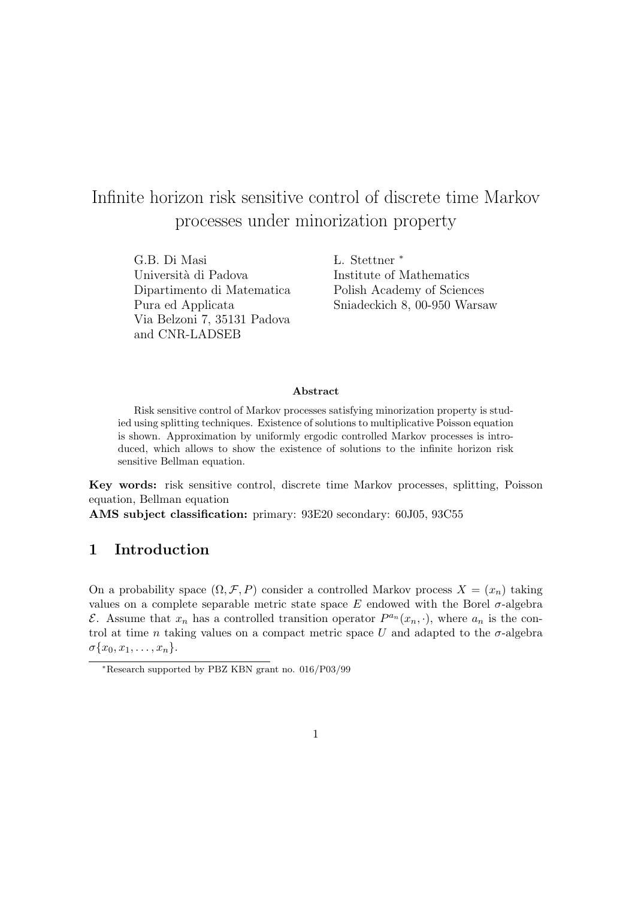# Infinite horizon risk sensitive control of discrete time Markov processes under minorization property

G.B. Di Masi *L.* Stettner \* Università di Padova Institute of Mathematics Dipartimento di Matematica Polish Academy of Sciences Via Belzoni 7, 35131 Padova and CNR-LADSEB

Pura ed Applicata Sniadeckich 8, 00-950 Warsaw

#### Abstract

Risk sensitive control of Markov processes satisfying minorization property is studied using splitting techniques. Existence of solutions to multiplicative Poisson equation is shown. Approximation by uniformly ergodic controlled Markov processes is introduced, which allows to show the existence of solutions to the infinite horizon risk sensitive Bellman equation.

Key words: risk sensitive control, discrete time Markov processes, splitting, Poisson equation, Bellman equation

AMS subject classification: primary: 93E20 secondary: 60J05, 93C55

### 1 Introduction

On a probability space  $(\Omega, \mathcal{F}, P)$  consider a controlled Markov process  $X = (x_n)$  taking values on a complete separable metric state space  $E$  endowed with the Borel  $\sigma$ -algebra E. Assume that  $x_n$  has a controlled transition operator  $P^{a_n}(x_n, \cdot)$ , where  $a_n$  is the control at time n taking values on a compact metric space U and adapted to the  $\sigma$ -algebra  $\sigma\{x_0, x_1, \ldots, x_n\}.$ 

<sup>∗</sup>Research supported by PBZ KBN grant no. 016/P03/99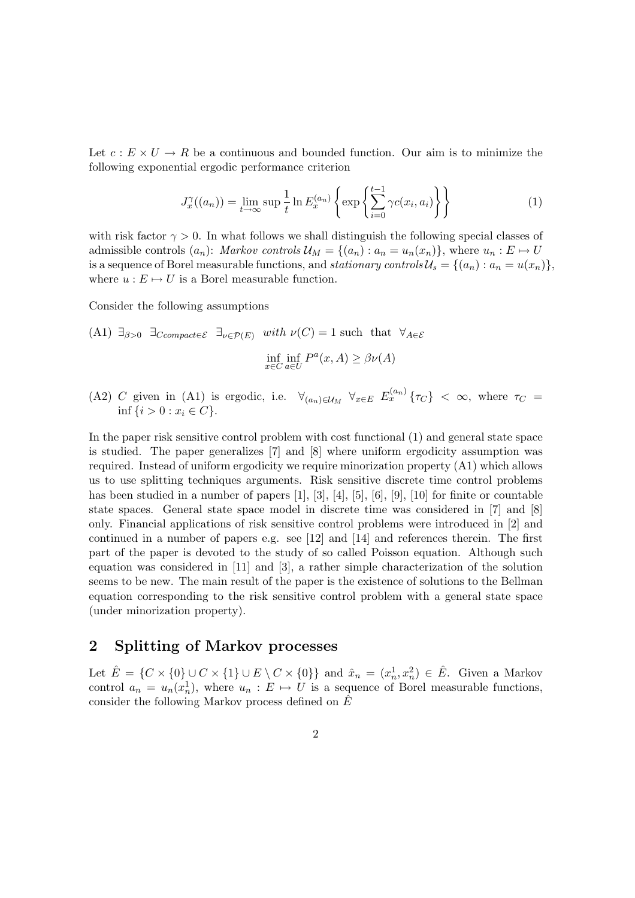Let  $c : E \times U \to R$  be a continuous and bounded function. Our aim is to minimize the following exponential ergodic performance criterion

$$
J_x^{\gamma}((a_n)) = \lim_{t \to \infty} \sup \frac{1}{t} \ln E_x^{(a_n)} \left\{ \exp \left\{ \sum_{i=0}^{t-1} \gamma c(x_i, a_i) \right\} \right\}
$$
 (1)

with risk factor  $\gamma > 0$ . In what follows we shall distinguish the following special classes of admissible controls  $(a_n)$ : Markov controls  $\mathcal{U}_M = \{(a_n) : a_n = u_n(x_n)\}\)$ , where  $u_n : E \mapsto U$ is a sequence of Borel measurable functions, and stationary controls  $\mathcal{U}_s = \{(a_n) : a_n = u(x_n)\}\,$ where  $u : E \mapsto U$  is a Borel measurable function.

Consider the following assumptions

(A1) 
$$
\exists_{\beta>0}
$$
  $\exists_{\text{Compact}\in\mathcal{E}}$   $\exists_{\nu\in\mathcal{P}(E)}$  with  $\nu(C) = 1$  such that  $\forall_{A\in\mathcal{E}}$   
  $\inf_{x\in C} \inf_{a\in U} P^a(x, A) \ge \beta \nu(A)$ 

(A2) C given in (A1) is ergodic, i.e.  $\forall_{(a_n)\in\mathcal{U}_M}$   $\forall_{x\in E}$   $E_x^{(a_n)}\{\tau_C\}$  <  $\infty$ , where  $\tau_C$  = inf  $\{i > 0 : x_i \in C\}$ .

In the paper risk sensitive control problem with cost functional (1) and general state space is studied. The paper generalizes [7] and [8] where uniform ergodicity assumption was required. Instead of uniform ergodicity we require minorization property (A1) which allows us to use splitting techniques arguments. Risk sensitive discrete time control problems has been studied in a number of papers [1], [3], [4], [5], [6], [9], [10] for finite or countable state spaces. General state space model in discrete time was considered in [7] and [8] only. Financial applications of risk sensitive control problems were introduced in [2] and continued in a number of papers e.g. see [12] and [14] and references therein. The first part of the paper is devoted to the study of so called Poisson equation. Although such equation was considered in [11] and [3], a rather simple characterization of the solution seems to be new. The main result of the paper is the existence of solutions to the Bellman equation corresponding to the risk sensitive control problem with a general state space (under minorization property).

### 2 Splitting of Markov processes

Let  $\hat{E} = \{ C \times \{0\} \cup C \times \{1\} \cup E \setminus C \times \{0\} \}$  and  $\hat{x}_n = (x_n^1, x_n^2) \in \hat{E}$ . Given a Markov control  $a_n = u_n(x_n)$ , where  $u_n : E \mapsto U$  is a sequence of Borel measurable functions, consider the following Markov process defined on  $E$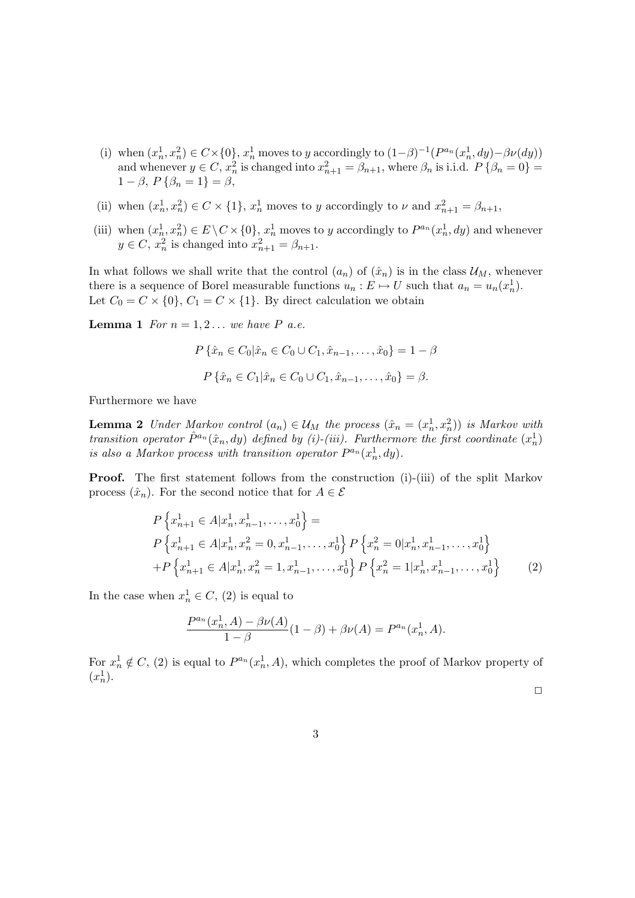- (i) when  $(x_n^1, x_n^2) \in C \times \{0\}$ ,  $x_n^1$  moves to y accordingly to  $(1-\beta)^{-1}(P^{a_n}(x_n^1, dy) \beta \nu(dy))$ and whenever  $y \in C$ ,  $x_n^2$  is changed into  $x_{n+1}^2 = \beta_{n+1}$ , where  $\beta_n$  is i.i.d.  $P\{\beta_n = 0\}$  $1 - \beta$ ,  $P\{\beta_n = 1\} = \beta$ ,
- (ii) when  $(x_n^1, x_n^2) \in C \times \{1\}$ ,  $x_n^1$  moves to y accordingly to  $\nu$  and  $x_{n+1}^2 = \beta_{n+1}$ ,
- (iii) when  $(x_n^1, x_n^2) \in E \setminus C \times \{0\}$ ,  $x_n^1$  moves to y accordingly to  $P^{a_n}(x_n^1, dy)$  and whenever  $y \in C$ ,  $x_n^2$  is changed into  $x_{n+1}^2 = \beta_{n+1}$ .

In what follows we shall write that the control  $(a_n)$  of  $(\hat{x}_n)$  is in the class  $\mathcal{U}_M$ , whenever there is a sequence of Borel measurable functions  $u_n : E \mapsto U$  such that  $a_n = u_n(x_n^1)$ . Let  $C_0 = C \times \{0\}$ ,  $C_1 = C \times \{1\}$ . By direct calculation we obtain

**Lemma 1** For  $n = 1, 2...$  we have P a.e.

$$
P\{\hat{x}_n \in C_0 | \hat{x}_n \in C_0 \cup C_1, \hat{x}_{n-1}, \dots, \hat{x}_0\} = 1 - \beta
$$

$$
P\{\hat{x}_n \in C_1 | \hat{x}_n \in C_0 \cup C_1, \hat{x}_{n-1}, \dots, \hat{x}_0\} = \beta.
$$

Furthermore we have

**Lemma 2** Under Markov control  $(a_n) \in \mathcal{U}_M$  the process  $(\hat{x}_n = (x_n^1, x_n^2))$  is Markov with transition operator  $\hat{P}^{a_n}(\hat{x}_n, dy)$  defined by (i)-(iii). Furthermore the first coordinate  $(x_n^1)$ is also a Markov process with transition operator  $P^{a_n}(x_n^1, dy)$ .

Proof. The first statement follows from the construction (i)-(iii) of the split Markov process  $(\hat{x}_n)$ . For the second notice that for  $A \in \mathcal{E}$ 

$$
P\left\{x_{n+1}^1 \in A | x_n^1, x_{n-1}^1, \dots, x_0^1\right\} =
$$
  
\n
$$
P\left\{x_{n+1}^1 \in A | x_n^1, x_n^2 = 0, x_{n-1}^1, \dots, x_0^1\right\} P\left\{x_n^2 = 0 | x_n^1, x_{n-1}^1, \dots, x_0^1\right\}
$$
  
\n
$$
+ P\left\{x_{n+1}^1 \in A | x_n^1, x_n^2 = 1, x_{n-1}^1, \dots, x_0^1\right\} P\left\{x_n^2 = 1 | x_n^1, x_{n-1}^1, \dots, x_0^1\right\}
$$
 (2)

In the case when  $x_n^1 \in C$ , (2) is equal to

$$
\frac{P^{a_n}(x_n^1, A) - \beta \nu(A)}{1 - \beta}(1 - \beta) + \beta \nu(A) = P^{a_n}(x_n^1, A).
$$

For  $x_n^1 \notin C$ , (2) is equal to  $P^{a_n}(x_n^1, A)$ , which completes the proof of Markov property of  $(x_n^1)$ .

 $\Box$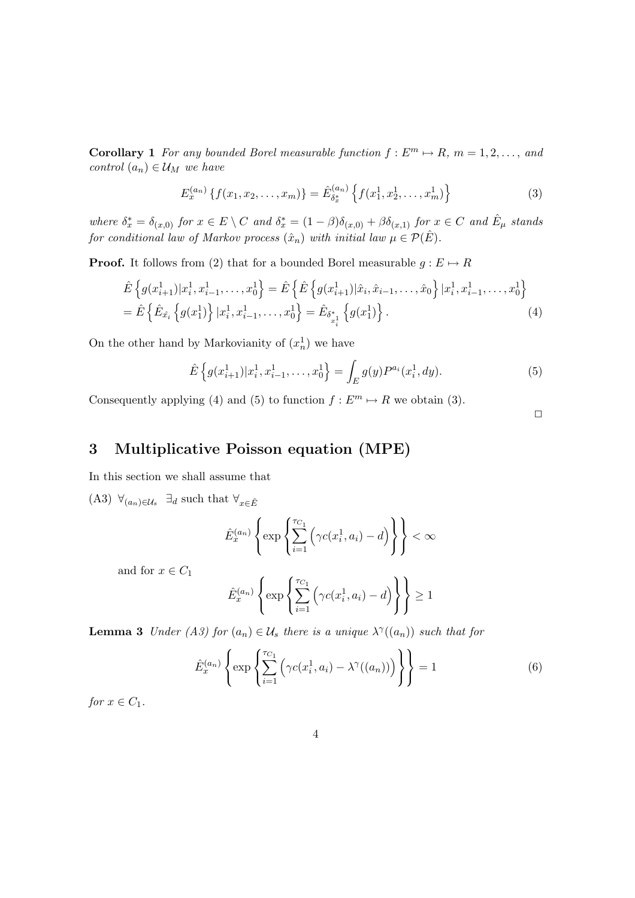**Corollary 1** For any bounded Borel measurable function  $f : E^m \mapsto R$ ,  $m = 1, 2, \ldots$ , and control  $(a_n) \in \mathcal{U}_M$  we have

$$
E_x^{(a_n)}\left\{f(x_1, x_2, \dots, x_m)\right\} = \hat{E}_{\delta_x^*}^{(a_n)}\left\{f(x_1^1, x_2^1, \dots, x_m^1)\right\}
$$
(3)

where  $\delta_x^* = \delta_{(x,0)}$  for  $x \in E \setminus C$  and  $\delta_x^* = (1 - \beta)\delta_{(x,0)} + \beta \delta_{(x,1)}$  for  $x \in C$  and  $\hat{E}_{\mu}$  stands for conditional law of Markov process  $(\hat{x}_n)$  with initial law  $\mu \in \mathcal{P}(\hat{E})$ .

**Proof.** It follows from (2) that for a bounded Borel measurable  $g : E \mapsto R$ 

$$
\hat{E}\left\{g(x_{i+1}^1)|x_i^1, x_{i-1}^1, \dots, x_0^1\right\} = \hat{E}\left\{\hat{E}\left\{g(x_{i+1}^1)|\hat{x}_i, \hat{x}_{i-1}, \dots, \hat{x}_0\right\}|x_i^1, x_{i-1}^1, \dots, x_0^1\right\} \n= \hat{E}\left\{\hat{E}_{\hat{x}_i}\left\{g(x_1^1)\right\}|x_i^1, x_{i-1}^1, \dots, x_0^1\right\} = \hat{E}_{\delta_{x_i}^*}\left\{g(x_1^1)\right\}.
$$
\n(4)

On the other hand by Markovianity of  $(x_n^1)$  we have

$$
\hat{E}\left\{g(x_{i+1}^1)|x_i^1, x_{i-1}^1, \dots, x_0^1\right\} = \int_E g(y)P^{a_i}(x_i^1, dy). \tag{5}
$$

Consequently applying (4) and (5) to function  $f : E^m \mapsto R$  we obtain (3).

 $\Box$ 

### 3 Multiplicative Poisson equation (MPE)

In this section we shall assume that

(A3)  $\forall_{(a_n)\in\mathcal{U}_s} \exists_d$  such that  $\forall_{x\in\hat{E}}$ 

$$
\hat{E}_x^{(a_n)} \left\{ \exp \left\{ \sum_{i=1}^{\tau_{C_1}} \left( \gamma c(x_i^1, a_i) - d \right) \right\} \right\} < \infty
$$

and for  $x \in C_1$ 

$$
\hat{E}_x^{(a_n)} \left\{ \exp \left\{ \sum_{i=1}^{\tau_{C_1}} \left( \gamma c(x_i^1, a_i) - d \right) \right\} \right\} \ge 1
$$

**Lemma 3** Under (A3) for  $(a_n) \in \mathcal{U}_s$  there is a unique  $\lambda^{\gamma}((a_n))$  such that for

$$
\hat{E}_x^{(a_n)} \left\{ \exp \left\{ \sum_{i=1}^{T_{C_1}} \left( \gamma c(x_i^1, a_i) - \lambda^{\gamma}((a_n)) \right) \right\} \right\} = 1
$$
\n(6)

for  $x \in C_1$ .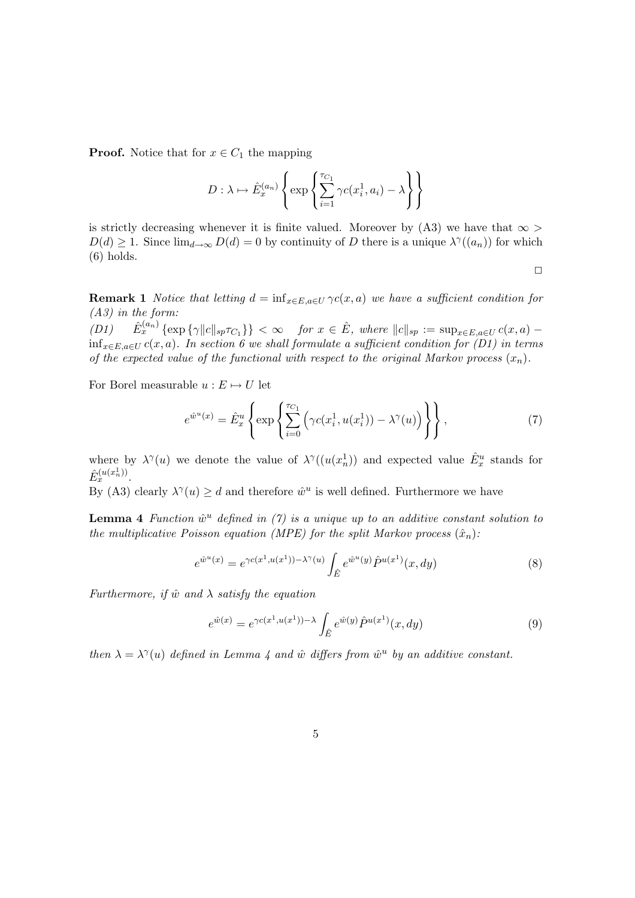**Proof.** Notice that for  $x \in C_1$  the mapping

$$
D: \lambda \mapsto \hat{E}_x^{(a_n)} \left\{ \exp \left\{ \sum_{i=1}^{\tau_{C_1}} \gamma c(x_i^1, a_i) - \lambda \right\} \right\}
$$

is strictly decreasing whenever it is finite valued. Moreover by (A3) we have that  $\infty$  $D(d) \geq 1$ . Since  $\lim_{d\to\infty} D(d) = 0$  by continuity of D there is a unique  $\lambda^{\gamma}((a_n))$  for which (6) holds.

 $\Box$ 

**Remark 1** Notice that letting  $d = \inf_{x \in E, a \in U} \gamma c(x, a)$  we have a sufficient condition for (A3) in the form:

 $(D1)$  $\lim_{x}^{(a_n)} \left\{ \exp \left\{ \gamma \|c\|_{sp}\tau_{C_1} \right\} \right\} < \infty$  for  $x \in \hat{E}$ , where  $||c||_{sp} := \sup_{x \in E, a \in U} c(x, a)$  $\inf_{x \in E, a \in U} c(x, a)$ . In section 6 we shall formulate a sufficient condition for (D1) in terms of the expected value of the functional with respect to the original Markov process  $(x_n)$ .

For Borel measurable  $u : E \mapsto U$  let

$$
e^{\hat{w}^u(x)} = \hat{E}_x^u \left\{ \exp \left\{ \sum_{i=0}^{\tau_{C_1}} \left( \gamma c(x_i^1, u(x_i^1)) - \lambda^{\gamma}(u) \right) \right\} \right\},\tag{7}
$$

where by  $\lambda^{\gamma}(u)$  we denote the value of  $\lambda^{\gamma}((u(x_n^1))$  and expected value  $\hat{E}^u_x$  stands for  $\hat{E}_x^{(u(x_n^1))}$ .

By (A3) clearly  $\lambda^{\gamma}(u) \geq d$  and therefore  $\hat{w}^u$  is well defined. Furthermore we have

**Lemma 4** Function  $\hat{w}^u$  defined in (7) is a unique up to an additive constant solution to the multiplicative Poisson equation (MPE) for the split Markov process  $(\hat{x}_n)$ :

$$
e^{\hat{w}^u(x)} = e^{\gamma c(x^1, u(x^1)) - \lambda^{\gamma}(u)} \int_{\hat{E}} e^{\hat{w}^u(y)} \hat{P}^{u(x^1)}(x, dy)
$$
(8)

Furthermore, if  $\hat{w}$  and  $\lambda$  satisfy the equation

$$
e^{\hat{w}(x)} = e^{\gamma c(x^1, u(x^1)) - \lambda} \int_{\hat{E}} e^{\hat{w}(y)} \hat{P}^{u(x^1)}(x, dy)
$$
(9)

then  $\lambda = \lambda^{\gamma}(u)$  defined in Lemma 4 and  $\hat{w}$  differs from  $\hat{w}^u$  by an additive constant.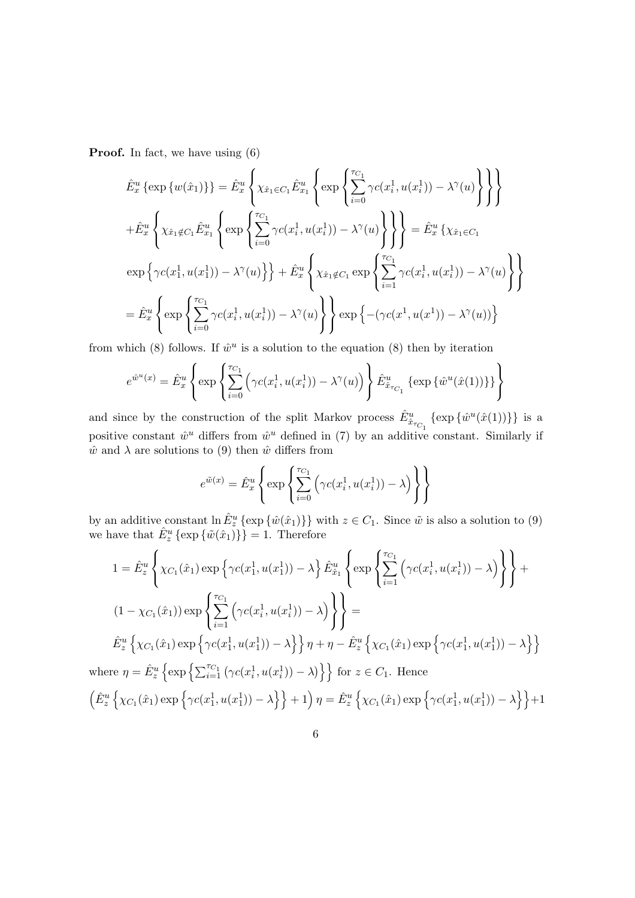**Proof.** In fact, we have using  $(6)$ 

$$
\hat{E}_{x}^{u} \{ \exp \{ w(\hat{x}_{1}) \} \} = \hat{E}_{x}^{u} \left\{ \chi_{\hat{x}_{1} \in C_{1}} \hat{E}_{x_{1}}^{u} \left\{ \exp \left\{ \sum_{i=0}^{\tau_{C_{1}}} \gamma c(x_{i}^{1}, u(x_{i}^{1})) - \lambda^{\gamma}(u) \right\} \right\} \right\}
$$
\n
$$
+ \hat{E}_{x}^{u} \left\{ \chi_{\hat{x}_{1} \notin C_{1}} \hat{E}_{x_{1}}^{u} \left\{ \exp \left\{ \sum_{i=0}^{\tau_{C_{1}}} \gamma c(x_{i}^{1}, u(x_{i}^{1})) - \lambda^{\gamma}(u) \right\} \right\} \right\} = \hat{E}_{x}^{u} \left\{ \chi_{\hat{x}_{1} \in C_{1}}
$$
\n
$$
\exp \left\{ \gamma c(x_{1}^{1}, u(x_{1}^{1})) - \lambda^{\gamma}(u) \right\} \right\} + \hat{E}_{x}^{u} \left\{ \chi_{\hat{x}_{1} \notin C_{1}} \exp \left\{ \sum_{i=1}^{\tau_{C_{1}}} \gamma c(x_{i}^{1}, u(x_{i}^{1})) - \lambda^{\gamma}(u) \right\} \right\}
$$
\n
$$
= \hat{E}_{x}^{u} \left\{ \exp \left\{ \sum_{i=0}^{\tau_{C_{1}}} \gamma c(x_{i}^{1}, u(x_{i}^{1})) - \lambda^{\gamma}(u) \right\} \right\} \exp \left\{ -(\gamma c(x_{1}^{1}, u(x_{1}^{1})) - \lambda^{\gamma}(u)) \right\}
$$

from which (8) follows. If  $\hat{w}^u$  is a solution to the equation (8) then by iteration

$$
e^{\hat{w}^u(x)} = \hat{E}_x^u \left\{ \exp \left\{ \sum_{i=0}^{\tau_{C_1}} \left( \gamma c(x_i^1, u(x_i^1)) - \lambda^{\gamma}(u) \right) \right\} \hat{E}_{\hat{x}_{\tau_{C_1}}}^u \left\{ \exp \{ \hat{w}^u(\hat{x}(1)) \} \right\} \right\}
$$

and since by the construction of the split Markov process  $\hat{E}^u_{\hat{x}_{\tau_{C_1}}}$  { $\exp{\{\hat{w}^u(\hat{x}(1))\}}\}$  is a positive constant  $\hat{w}^u$  differs from  $\hat{w}^u$  defined in (7) by an additive constant. Similarly if  $\hat{w}$  and  $\lambda$  are solutions to (9) then  $\hat{w}$  differs from

$$
e^{\tilde{w}(x)} = \hat{E}_x^u \left\{ \exp \left\{ \sum_{i=0}^{\tau_{C_1}} \left( \gamma c(x_i^1, u(x_i^1)) - \lambda \right) \right\} \right\}
$$

by an additive constant  $\ln \hat{E}^u_z \{\exp \{\hat{w}(\hat{x}_1)\}\}\$  with  $z \in C_1$ . Since  $\tilde{w}$  is also a solution to (9) we have that  $\hat{E}^u_z \{\exp\{\tilde{w}(\hat{x}_1)\}\} = 1$ . Therefore

$$
1 = \hat{E}_z^u \left\{ \chi_{C_1}(\hat{x}_1) \exp \left\{ \gamma c(x_1^1, u(x_1^1)) - \lambda \right\} \hat{E}_{\hat{x}_1}^u \left\{ \exp \left\{ \sum_{i=1}^{\tau_{C_1}} \left( \gamma c(x_i^1, u(x_i^1)) - \lambda \right) \right\} \right\} +
$$
  
\n
$$
(1 - \chi_{C_1}(\hat{x}_1)) \exp \left\{ \sum_{i=1}^{\tau_{C_1}} \left( \gamma c(x_i^1, u(x_i^1)) - \lambda \right) \right\} \right\} =
$$
  
\n
$$
\hat{E}_z^u \left\{ \chi_{C_1}(\hat{x}_1) \exp \left\{ \gamma c(x_1^1, u(x_1^1)) - \lambda \right\} \right\} \eta + \eta - \hat{E}_z^u \left\{ \chi_{C_1}(\hat{x}_1) \exp \left\{ \gamma c(x_1^1, u(x_1^1)) - \lambda \right\} \right\}
$$
  
\nwhere  $\eta = \hat{E}_z^u \left\{ \exp \left\{ \sum_{i=1}^{\tau_{C_1}} \left( \gamma c(x_i^1, u(x_i^1)) - \lambda \right) \right\} \right\}$  for  $z \in C_1$ . Hence  
\n
$$
\left( \hat{E}_z^u \left\{ \chi_{C_1}(\hat{x}_1) \exp \left\{ \gamma c(x_1^1, u(x_1^1)) - \lambda \right\} \right\} + 1 \right) \eta = \hat{E}_z^u \left\{ \chi_{C_1}(\hat{x}_1) \exp \left\{ \gamma c(x_1^1, u(x_1^1)) - \lambda \right\} \right\} + 1
$$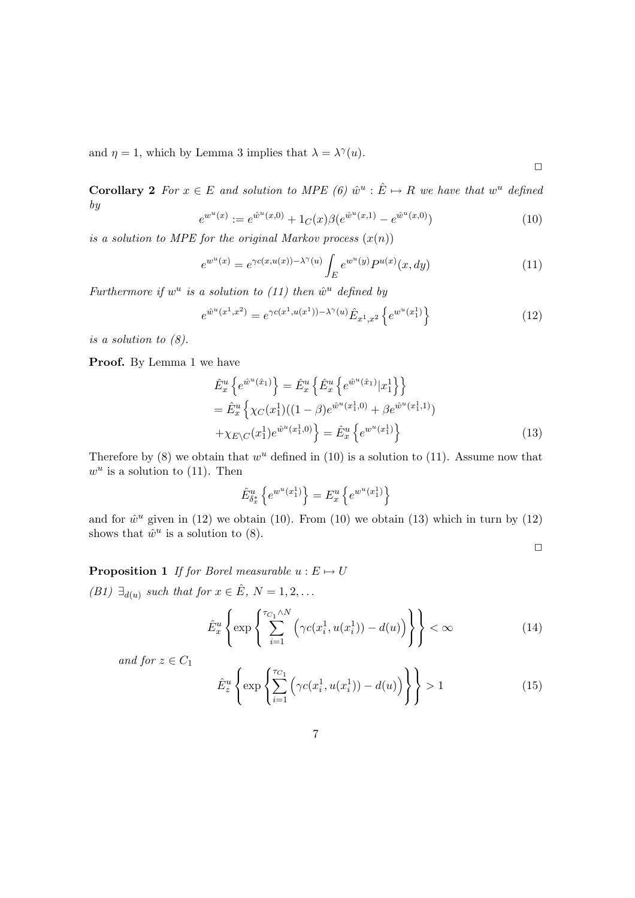and  $\eta = 1$ , which by Lemma 3 implies that  $\lambda = \lambda^{\gamma}(u)$ .

**Corollary 2** For  $x \in E$  and solution to MPE (6)  $\hat{w}^u : \hat{E} \mapsto R$  we have that  $w^u$  defined by

$$
e^{w^u(x)} := e^{\hat{w}^u(x,0)} + 1_C(x)\beta(e^{\hat{w}^u(x,1)} - e^{\hat{w}^u(x,0)})
$$
\n(10)

is a solution to MPE for the original Markov process  $(x(n))$ 

$$
e^{w^u(x)} = e^{\gamma c(x, u(x)) - \lambda^{\gamma}(u)} \int_E e^{w^u(y)} P^{u(x)}(x, dy)
$$
 (11)

Furthermore if  $w^u$  is a solution to (11) then  $\hat{w}^u$  defined by

$$
e^{\hat{w}^u(x^1, x^2)} = e^{\gamma c(x^1, u(x^1)) - \lambda^{\gamma}(u)} \hat{E}_{x^1, x^2} \left\{ e^{w^u(x^1_1)} \right\}
$$
(12)

is a solution to  $(8)$ .

Proof. By Lemma 1 we have

$$
\hat{E}_x^u \left\{ e^{\hat{w}^u(\hat{x}_1)} \right\} = \hat{E}_x^u \left\{ \hat{E}_x^u \left\{ e^{\hat{w}^u(\hat{x}_1)} | x_1^1 \right\} \right\} \n= \hat{E}_x^u \left\{ \chi_C(x_1^1)((1-\beta)e^{\hat{w}^u(x_1^1,0)} + \beta e^{\hat{w}^u(x_1^1,1)}) \n+ \chi_{E \setminus C}(x_1^1)e^{\hat{w}^u(x_1^1,0)} \right\} = \hat{E}_x^u \left\{ e^{w^u(x_1^1)} \right\}
$$
\n(13)

Therefore by (8) we obtain that  $w^u$  defined in (10) is a solution to (11). Assume now that  $w^u$  is a solution to (11). Then

$$
\hat{E}^u_{\delta^*_x}\left\{e^{w^u(x^1_1)}\right\}=E^u_x\left\{e^{w^u(x^1_1)}\right\}
$$

and for  $\hat{w}^u$  given in (12) we obtain (10). From (10) we obtain (13) which in turn by (12) shows that  $\hat{w}^u$  is a solution to (8).

 $\Box$ 

 $\Box$ 

**Proposition 1** If for Borel measurable  $u : E \mapsto U$ 

(B1)  $\exists_{d(u)}$  such that for  $x \in \hat{E}$ ,  $N = 1, 2, ...$ 

$$
\hat{E}_x^u \left\{ \exp \left\{ \sum_{i=1}^{\tau_{C_1} \wedge N} \left( \gamma c(x_i^1, u(x_i^1)) - d(u) \right) \right\} \right\} < \infty \tag{14}
$$

and for  $z \in C_1$ 

$$
\hat{E}_z^u \left\{ \exp\left\{ \sum_{i=1}^{\tau_{C_1}} \left( \gamma c(x_i^1, u(x_i^1)) - d(u) \right) \right\} \right\} > 1
$$
\n(15)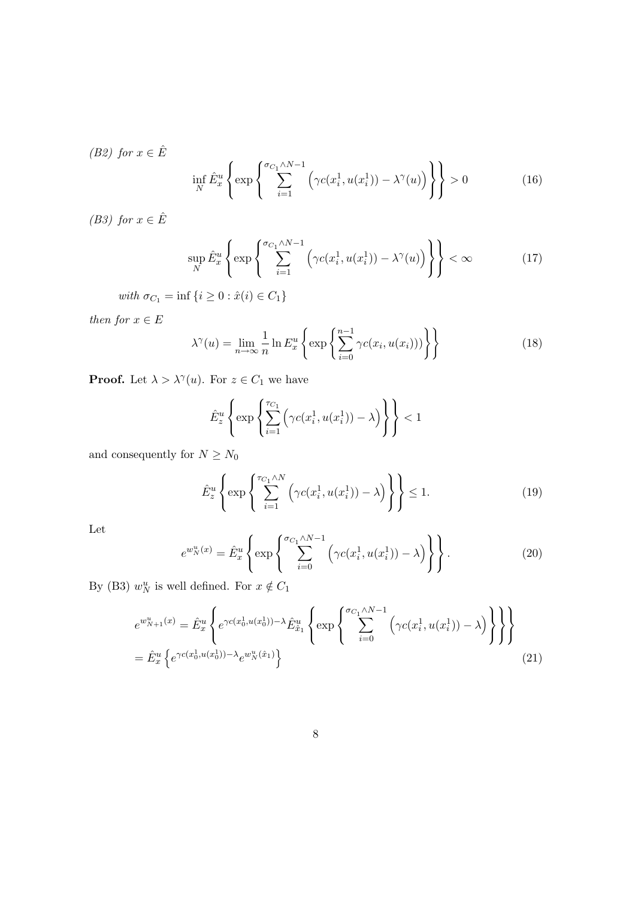(B2) for  $x \in \hat{E}$ 

$$
\inf_{N} \hat{E}_x^u \left\{ \exp \left\{ \sum_{i=1}^{\sigma_{C_1} \wedge N - 1} \left( \gamma c(x_i^1, u(x_i^1)) - \lambda^\gamma(u) \right) \right\} \right\} > 0 \tag{16}
$$

(B3) for  $x \in \hat{E}$ 

$$
\sup_{N} \hat{E}_x^u \left\{ \exp \left\{ \sum_{i=1}^{\sigma_{C_1} \wedge N - 1} \left( \gamma c(x_i^1, u(x_i^1)) - \lambda^{\gamma}(u) \right) \right\} \right\} < \infty \tag{17}
$$

with  $\sigma_{C_1} = \inf \{ i \geq 0 : \hat{x}(i) \in C_1 \}$ 

then for  $x\in E$ 

$$
\lambda^{\gamma}(u) = \lim_{n \to \infty} \frac{1}{n} \ln E_x^u \left\{ \exp \left\{ \sum_{i=0}^{n-1} \gamma c(x_i, u(x_i)) \right) \right\} \right\}
$$
(18)

**Proof.** Let  $\lambda > \lambda^{\gamma}(u)$ . For  $z \in C_1$  we have

$$
\hat{E}_z^u \left\{ \exp \left\{ \sum_{i=1}^{\tau_{C_1}} \left( \gamma c(x_i^1, u(x_i^1)) - \lambda \right) \right\} \right\} < 1
$$

and consequently for  $N\ge N_0$ 

$$
\hat{E}_z^u \left\{ \exp \left\{ \sum_{i=1}^{\tau_{C_1} \wedge N} \left( \gamma c(x_i^1, u(x_i^1)) - \lambda \right) \right\} \right\} \le 1.
$$
\n(19)

Let

$$
e^{w_N^u(x)} = \hat{E}_x^u \left\{ \exp \left\{ \sum_{i=0}^{\sigma_{C_1} \wedge N - 1} \left( \gamma c(x_i^1, u(x_i^1)) - \lambda \right) \right\} \right\}.
$$
 (20)

By (B3)  $w_N^u$  is well defined. For  $x \notin C_1$ 

$$
e^{w_{N+1}^u(x)} = \hat{E}_x^u \left\{ e^{\gamma c(x_0^1, u(x_0^1)) - \lambda} \hat{E}_{\hat{x}_1}^u \left\{ \exp \left\{ \sum_{i=0}^{\sigma_{C_1} \wedge N - 1} \left( \gamma c(x_i^1, u(x_i^1)) - \lambda \right) \right\} \right\} \right\}
$$
  
=  $\hat{E}_x^u \left\{ e^{\gamma c(x_0^1, u(x_0^1)) - \lambda} e^{w_N^u(\hat{x}_1)} \right\}$  (21)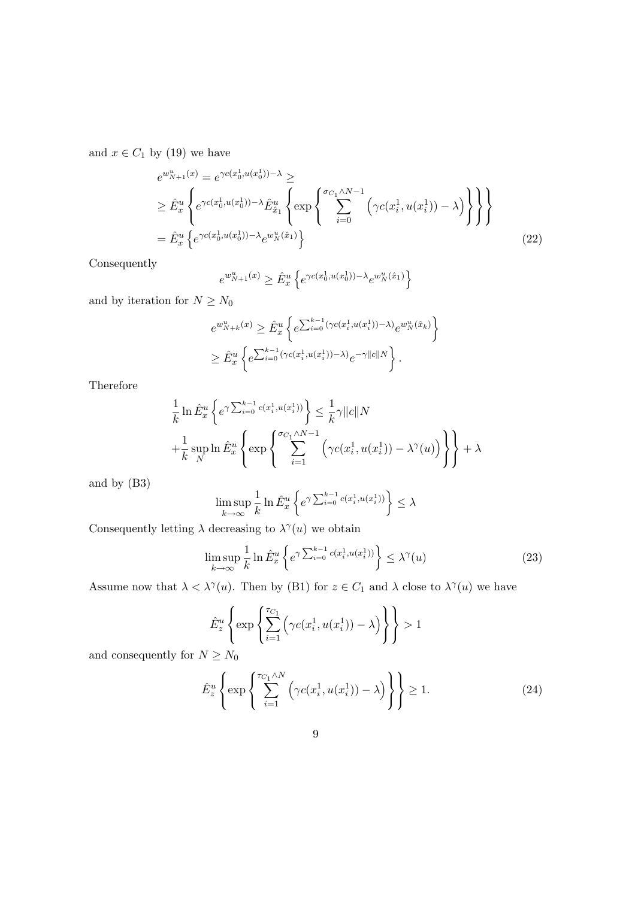and  $x \in C_1$  by (19) we have

$$
e^{w_{N+1}^{u}(x)} = e^{\gamma c(x_0^1, u(x_0^1)) - \lambda} \ge
$$
  
\n
$$
\geq \hat{E}_x^u \left\{ e^{\gamma c(x_0^1, u(x_0^1)) - \lambda} \hat{E}_{\hat{x}_1}^u \left\{ \exp \left\{ \sum_{i=0}^{\sigma_{C_1} \wedge N - 1} \left( \gamma c(x_i^1, u(x_i^1)) - \lambda \right) \right\} \right\} \right\}
$$
  
\n
$$
= \hat{E}_x^u \left\{ e^{\gamma c(x_0^1, u(x_0^1)) - \lambda} e^{w_N^u(\hat{x}_1)} \right\}
$$
\n(22)

Consequently

$$
e^{w_{N+1}^u(x)} \geq \hat{E}^u_x \left\{ e^{\gamma c(x_0^1,u(x_0^1)) - \lambda} e^{w_N^u(\hat{x}_1)} \right\}
$$

and by iteration for  $N\ge N_0$ 

$$
e^{w_{N+k}^u(x)} \geq \hat{E}_x^u \left\{ e^{\sum_{i=0}^{k-1} (\gamma c(x_i^1, u(x_i^1)) - \lambda)} e^{w_N^u(\hat{x}_k)} \right\}
$$
  

$$
\geq \hat{E}_x^u \left\{ e^{\sum_{i=0}^{k-1} (\gamma c(x_i^1, u(x_i^1)) - \lambda)} e^{-\gamma ||c||N} \right\}.
$$

**Therefore** 

$$
\frac{1}{k} \ln \hat{E}_x^u \left\{ e^{\gamma \sum_{i=0}^{k-1} c(x_i^1, u(x_i^1))} \right\} \leq \frac{1}{k} \gamma ||c||N
$$
\n
$$
+ \frac{1}{k} \sup_N \ln \hat{E}_x^u \left\{ \exp \left\{ \sum_{i=1}^{\sigma_{C_1} \wedge N - 1} \left( \gamma c(x_i^1, u(x_i^1)) - \lambda^{\gamma}(u) \right) \right\} \right\} + \lambda
$$

and by (B3)

$$
\limsup_{k\to\infty}\frac{1}{k}\ln\hat{E}^u_x\left\{e^{\gamma\sum_{i=0}^{k-1}c(x^1_i,u(x^1_i))}\right\}\leq\lambda
$$

Consequently letting  $\lambda$  decreasing to  $\lambda^{\gamma}(u)$  we obtain

$$
\limsup_{k \to \infty} \frac{1}{k} \ln \hat{E}_x^u \left\{ e^{\gamma \sum_{i=0}^{k-1} c(x_i^1, u(x_i^1))} \right\} \le \lambda^{\gamma}(u)
$$
\n(23)

Assume now that  $\lambda < \lambda^{\gamma}(u)$ . Then by (B1) for  $z \in C_1$  and  $\lambda$  close to  $\lambda^{\gamma}(u)$  we have

$$
\hat{E}_z^u \left\{ \exp \left\{ \sum_{i=1}^{\tau_{C_1}} \left( \gamma c(x_i^1, u(x_i^1)) - \lambda \right) \right\} \right\} > 1
$$

and consequently for  $N \geq N_0$ 

$$
\hat{E}_z^u \left\{ \exp \left\{ \sum_{i=1}^{\tau_{C_1} \wedge N} \left( \gamma c(x_i^1, u(x_i^1)) - \lambda \right) \right\} \right\} \ge 1. \tag{24}
$$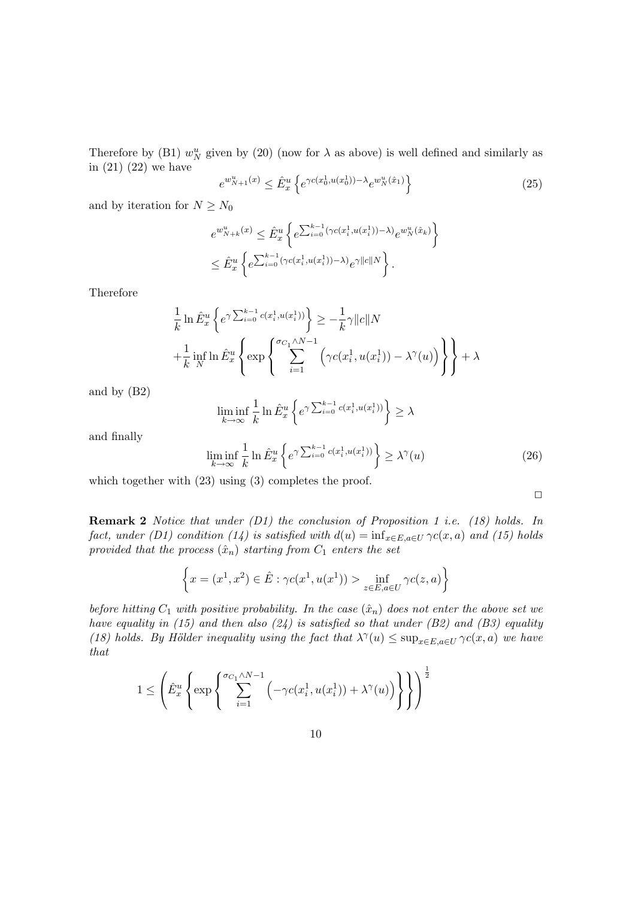Therefore by (B1)  $w_N^u$  given by (20) (now for  $\lambda$  as above) is well defined and similarly as in (21) (22) we have n o

$$
e^{w_{N+1}^u(x)} \le \hat{E}_x^u \left\{ e^{\gamma c(x_0^1, u(x_0^1)) - \lambda} e^{w_N^u(\hat{x}_1)} \right\} \tag{25}
$$

and by iteration for  $N \geq N_0$ 

$$
e^{w_{N+k}^u(x)} \leq \hat{E}_x^u \left\{ e^{\sum_{i=0}^{k-1} (\gamma c(x_i^1, u(x_i^1)) - \lambda)} e^{w_N^u(\hat{x}_k)} \right\}
$$
  

$$
\leq \hat{E}_x^u \left\{ e^{\sum_{i=0}^{k-1} (\gamma c(x_i^1, u(x_i^1)) - \lambda)} e^{\gamma ||c||N} \right\}.
$$

Therefore

$$
\frac{1}{k} \ln \hat{E}_x^u \left\{ e^{\gamma \sum_{i=0}^{k-1} c(x_i^1, u(x_i^1))} \right\} \ge -\frac{1}{k} \gamma ||c||N
$$
\n
$$
+ \frac{1}{k} \inf_N \ln \hat{E}_x^u \left\{ \exp \left\{ \sum_{i=1}^{\sigma_{C_1} \wedge N - 1} \left( \gamma c(x_i^1, u(x_i^1)) - \lambda^{\gamma}(u) \right) \right\} \right\} + \lambda
$$

and by (B2)

$$
\liminf_{k \to \infty} \frac{1}{k} \ln \hat{E}_x^u \left\{ e^{\gamma \sum_{i=0}^{k-1} c(x_i^1, u(x_i^1))} \right\} \ge \lambda
$$

and finally

$$
\liminf_{k \to \infty} \frac{1}{k} \ln \hat{E}_x^u \left\{ e^{\gamma \sum_{i=0}^{k-1} c(x_i^1, u(x_i^1))} \right\} \ge \lambda^{\gamma}(u)
$$
\n(26)

 $\Box$ 

which together with  $(23)$  using  $(3)$  completes the proof.

Remark 2 Notice that under (D1) the conclusion of Proposition 1 i.e. (18) holds. In fact, under (D1) condition (14) is satisfied with  $d(u) = \inf_{x \in E, a \in U} \gamma c(x, a)$  and (15) holds provided that the process  $(\hat{x}_n)$  starting from  $C_1$  enters the set

$$
\left\{x = (x^1, x^2) \in \hat{E} : \gamma c(x^1, u(x^1)) > \inf_{z \in E, a \in U} \gamma c(z, a)\right\}
$$

before hitting  $C_1$  with positive probability. In the case  $(\hat{x}_n)$  does not enter the above set we have equality in (15) and then also  $(24)$  is satisfied so that under (B2) and (B3) equality (18) holds. By Hölder inequality using the fact that  $\lambda^{\gamma}(u) \leq \sup_{x \in E, a \in U} \gamma c(x, a)$  we have that

$$
1 \leq \left(\hat{E}_x^u \left\{ \exp\left\{\sum_{i=1}^{\sigma_{C_1} \wedge N-1} \left(-\gamma c(x_i^1,u(x_i^1)) + \lambda^\gamma(u)\right)\right\}\right\}\right)^{\frac{1}{2}}
$$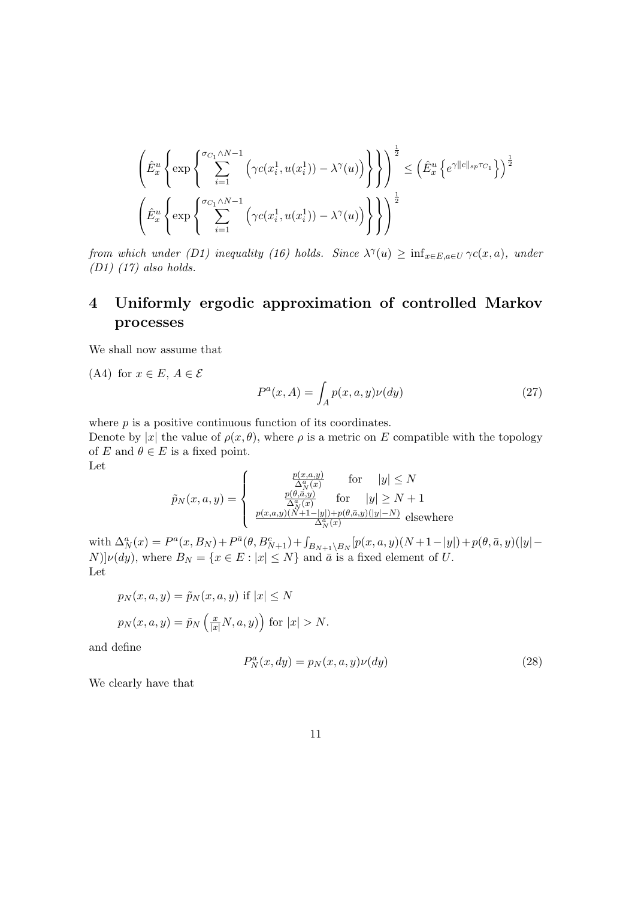$$
\left\{\hat{E}_x^u \left\{ \exp\left\{\sum_{i=1}^{\sigma_{C_1} \wedge N-1} \left(\gamma c(x_i^1, u(x_i^1)) - \lambda^{\gamma}(u)\right) \right\}\right\}\right\}^{\frac{1}{2}} \leq \left(\hat{E}_x^u \left\{ e^{\gamma ||c||_{sp}\tau_{C_1}} \right\}\right)^{\frac{1}{2}}
$$

$$
\left(\hat{E}_x^u \left\{ \exp\left\{\sum_{i=1}^{\sigma_{C_1} \wedge N-1} \left(\gamma c(x_i^1, u(x_i^1)) - \lambda^{\gamma}(u)\right) \right\}\right\}\right)^{\frac{1}{2}}
$$

from which under (D1) inequality (16) holds. Since  $\lambda^{\gamma}(u) \geq \inf_{x \in E, a \in U} \gamma c(x, a)$ , under  $(D1)$   $(17)$  also holds.

## 4 Uniformly ergodic approximation of controlled Markov processes

We shall now assume that

(A4) for  $x \in E$ ,  $A \in \mathcal{E}$ 

$$
P^{a}(x, A) = \int_{A} p(x, a, y)\nu(dy)
$$
\n(27)

where  $p$  is a positive continuous function of its coordinates.

Denote by |x| the value of  $\rho(x, \theta)$ , where  $\rho$  is a metric on E compatible with the topology of E and  $\theta \in E$  is a fixed point. Let

$$
\tilde{p}_N(x, a, y) = \begin{cases}\n\frac{p(x, a, y)}{\Delta_N^a(x)} & \text{for} \quad |y| \le N \\
\frac{p(\theta, \bar{a}, y)}{\Delta_N^a(x)} & \text{for} \quad |y| \ge N + 1 \\
\frac{p(x, a, y)(N+1-|y|)+p(\theta, \bar{a}, y)(|y|-N)}{\Delta_N^a(x)} & \text{elsewhere}\n\end{cases}
$$

with  $\Delta_N^a(x) = P^a(x, B_N) + P^{\bar{a}}(\theta, B_{N+1}^c) + \int_{B_{N+1}\setminus B_N} [p(x, a, y)(N+1-|y|) + p(\theta, \bar{a}, y)(|y| [N]\nu(dy)$ , where  $B_N = \{x \in E : |x| \le N\}$  and  $\bar{a}$  is a fixed element of U. Let

$$
p_N(x, a, y) = \tilde{p}_N(x, a, y) \text{ if } |x| \le N
$$
  

$$
p_N(x, a, y) = \tilde{p}_N\left(\frac{x}{|x|}N, a, y\right) \text{ for } |x| > N.
$$

and define

$$
P_N^a(x, dy) = p_N(x, a, y)\nu(dy)
$$
\n(28)

We clearly have that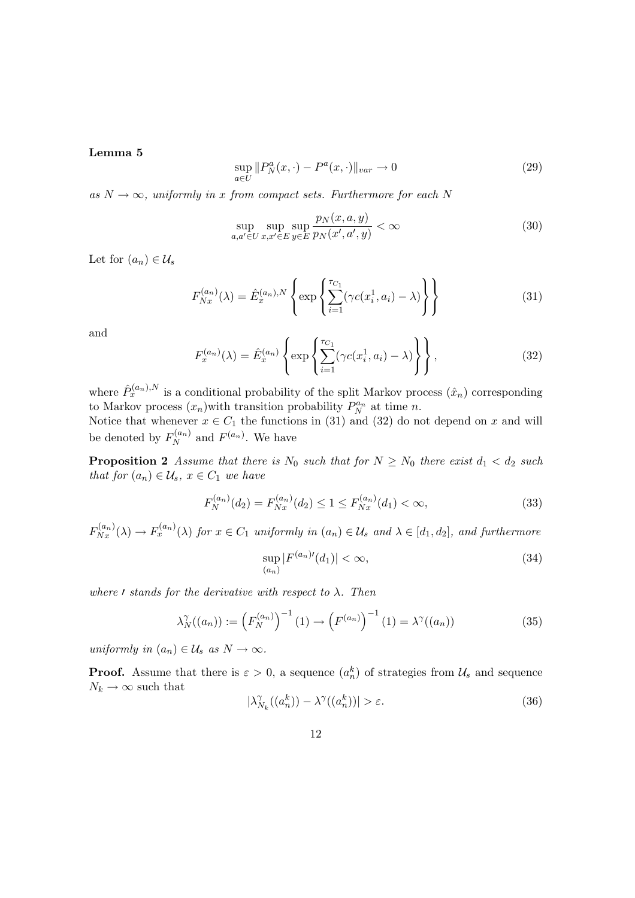#### Lemma 5

$$
\sup_{a \in U} ||P_N^a(x, \cdot) - P^a(x, \cdot)||_{var} \to 0
$$
\n(29)

as  $N \to \infty$ , uniformly in x from compact sets. Furthermore for each N

$$
\sup_{a,a'\in U} \sup_{x,x'\in E} \sup_{y\in E} \frac{p_N(x,a,y)}{p_N(x',a',y)} < \infty \tag{30}
$$

Let for  $(a_n) \in \mathcal{U}_s$ 

$$
F_{Nx}^{(a_n)}(\lambda) = \hat{E}_x^{(a_n),N} \left\{ \exp \left\{ \sum_{i=1}^{T_{C_1}} (\gamma c(x_i^1, a_i) - \lambda) \right\} \right\}
$$
(31)

and

$$
F_x^{(a_n)}(\lambda) = \hat{E}_x^{(a_n)} \left\{ \exp \left\{ \sum_{i=1}^{\tau_{C_1}} (\gamma c(x_i^1, a_i) - \lambda) \right\} \right\},
$$
 (32)

where  $\hat{P}_x^{(a_n),N}$  is a conditional probability of the split Markov process  $(\hat{x}_n)$  corresponding to Markov process  $(x_n)$  with transition probability  $P_N^{a_n}$  at time n.

Notice that whenever  $x \in C_1$  the functions in (31) and (32) do not depend on x and will be denoted by  $F_N^{(a_n)}$  and  $F^{(a_n)}$ . We have

**Proposition 2** Assume that there is  $N_0$  such that for  $N \geq N_0$  there exist  $d_1 < d_2$  such that for  $(a_n) \in \mathcal{U}_s$ ,  $x \in C_1$  we have

$$
F_N^{(a_n)}(d_2) = F_{Nx}^{(a_n)}(d_2) \le 1 \le F_{Nx}^{(a_n)}(d_1) < \infty,\tag{33}
$$

 $F_{Nx}^{(a_n)}(\lambda) \to F_x^{(a_n)}(\lambda)$  for  $x \in C_1$  uniformly in  $(a_n) \in \mathcal{U}_s$  and  $\lambda \in [d_1, d_2]$ , and furthermore

$$
\sup_{(a_n)} |F^{(a_n)\prime}(d_1)| < \infty,\tag{34}
$$

where  $\ell$  stands for the derivative with respect to  $\lambda$ . Then

$$
\lambda_N^{\gamma}((a_n)) := \left(F_N^{(a_n)}\right)^{-1}(1) \to \left(F^{(a_n)}\right)^{-1}(1) = \lambda^{\gamma}((a_n))
$$
\n(35)

uniformly in  $(a_n) \in \mathcal{U}_s$  as  $N \to \infty$ .

**Proof.** Assume that there is  $\varepsilon > 0$ , a sequence  $(a_n^k)$  of strategies from  $\mathcal{U}_s$  and sequence  $N_k \to \infty$  such that

$$
|\lambda_{N_k}^{\gamma}((a_n^k)) - \lambda^{\gamma}((a_n^k))| > \varepsilon.
$$
 (36)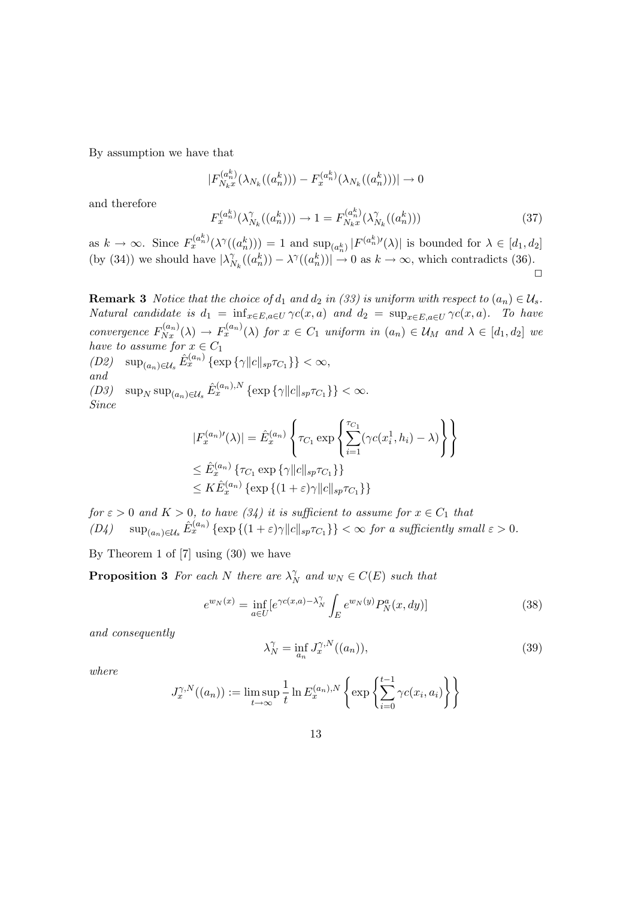By assumption we have that

$$
|F_{N_kx}^{(a_n^k)}(\lambda_{N_k}((a_n^k))) - F_x^{(a_n^k)}(\lambda_{N_k}((a_n^k)))| \to 0
$$
  

$$
F_x^{(a_n^k)}(\lambda_{N_k}^{\gamma}((a_n^k))) \to 1 = F_{N_kx}^{(a_n^k)}(\lambda_{N_k}^{\gamma}((a_n^k)))
$$
 (37)

and therefore

as  $k \to \infty$ . Since  $F_x^{(a_n^k)}(\lambda^{\gamma}((a_n^k))) = 1$  and  $\sup_{(a_n^k)} |F^{(a_n^k)\prime}(\lambda)|$  is bounded for  $\lambda \in [d_1, d_2]$ (by (34)) we should have  $|\lambda_N^{\gamma}|$  $N_k((a_n^k)) - \lambda^{\gamma}((a_n^k)) \to 0$  as  $k \to \infty$ , which contradicts (36).  $\Box$ 

**Remark 3** Notice that the choice of  $d_1$  and  $d_2$  in (33) is uniform with respect to  $(a_n) \in \mathcal{U}_s$ . Natural candidate is  $d_1 = \inf_{x \in E, a \in U} \gamma c(x, a)$  and  $d_2 = \sup_{x \in E, a \in U} \gamma c(x, a)$ . To have convergence  $F_{Nx}^{(a_n)}(\lambda) \to F_x^{(a_n)}(\lambda)$  for  $x \in C_1$  uniform in  $(a_n) \in \mathcal{U}_M$  and  $\lambda \in [d_1, d_2]$  we have to assume for  $x \in C_1$ 

(D2)  $\sup_{(a_n)\in\mathcal{U}_s} \hat{E}_x^{(a_n)} \{\exp \{\gamma ||c||_{sp}\tau_{C_1}\}\} < \infty$ , and (D3)  $\sup_N \sup_{(a_n)\in\mathcal{U}_s} \hat{E}_x^{(a_n),N} \{\exp\{\gamma ||c||_{sp}\tau_{C_1}\}\}<\infty.$ Since

$$
|F_x^{(a_n)'}(\lambda)| = \hat{E}_x^{(a_n)} \left\{ \tau_{C_1} \exp \left\{ \sum_{i=1}^{\tau_{C_1}} (\gamma c(x_i^1, h_i) - \lambda) \right\} \right\}
$$
  

$$
\leq \hat{E}_x^{(a_n)} \left\{ \tau_{C_1} \exp \left\{ \gamma ||c||_{sp} \tau_{C_1} \right\} \right\}
$$
  

$$
\leq K \hat{E}_x^{(a_n)} \left\{ \exp \left\{ (1 + \varepsilon) \gamma ||c||_{sp} \tau_{C_1} \right\} \right\}
$$

for  $\varepsilon > 0$  and  $K > 0$ , to have  $(34)$  it is sufficient to assume for  $x \in C_1$  that  $(D4)$  sup $_{(a_n)\in\mathcal{U}_s}$   $\hat{E}_x^{(a_n)}$  { $\exp\{(1+\varepsilon)\gamma\|c\|_{sp}\tau_{C_1}\}$ }  $<\infty$  for a sufficiently small  $\varepsilon > 0$ .

By Theorem 1 of [7] using (30) we have

**Proposition 3** For each N there are  $\lambda_N^{\gamma}$  and  $w_N \in C(E)$  such that

$$
e^{w_N(x)} = \inf_{a \in U} \left[e^{\gamma c(x,a) - \lambda_N^{\gamma}} \int_E e^{w_N(y)} P_N^a(x, dy)\right]
$$
(38)

and consequently

$$
\lambda_N^{\gamma} = \inf_{a_n} J_x^{\gamma, N}((a_n)),\tag{39}
$$

where

$$
J_x^{\gamma,N}((a_n)) := \limsup_{t \to \infty} \frac{1}{t} \ln E_x^{(a_n),N} \left\{ \exp \left\{ \sum_{i=0}^{t-1} \gamma c(x_i, a_i) \right\} \right\}
$$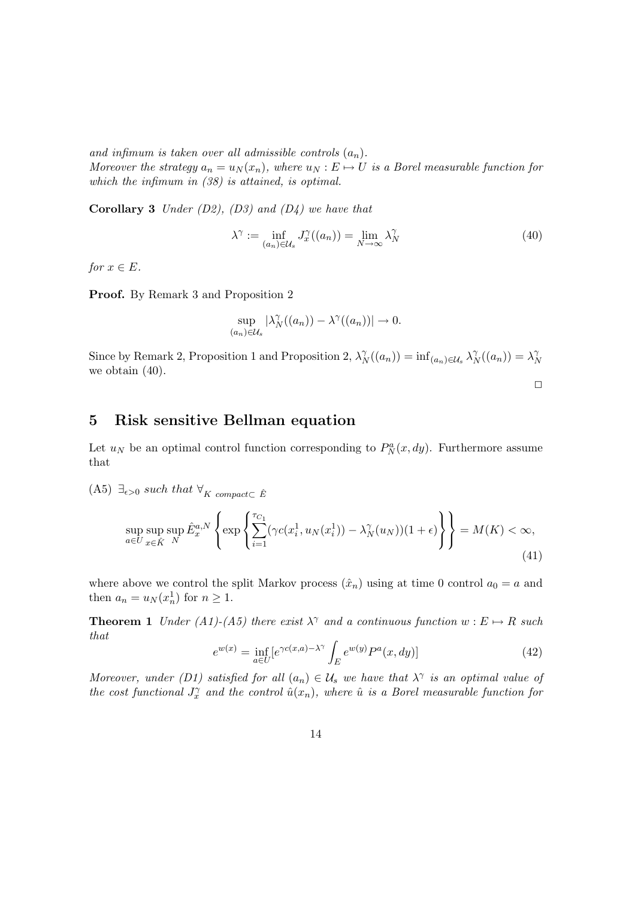and infimum is taken over all admissible controls  $(a_n)$ . Moreover the strategy  $a_n = u_N(x_n)$ , where  $u_N : E \mapsto U$  is a Borel measurable function for which the infimum in  $(38)$  is attained, is optimal.

**Corollary 3** Under  $(D2)$ ,  $(D3)$  and  $(D4)$  we have that

$$
\lambda^{\gamma} := \inf_{(a_n) \in \mathcal{U}_s} J_x^{\gamma}((a_n)) = \lim_{N \to \infty} \lambda_N^{\gamma}
$$
\n(40)

for  $x \in E$ .

Proof. By Remark 3 and Proposition 2

$$
\sup_{(a_n)\in\mathcal{U}_s} |\lambda_N^{\gamma}((a_n)) - \lambda^{\gamma}((a_n))| \to 0.
$$

Since by Remark 2, Proposition 1 and Proposition 2,  $\lambda_N^{\gamma}(a_n)$  =  $\inf_{(a_n)\in\mathcal{U}_{\mathcal{S}}}\lambda_N^{\gamma}(a_n)$  =  $\lambda_N^{\gamma}$ N we obtain (40).

#### $\Box$

### 5 Risk sensitive Bellman equation

Let  $u_N$  be an optimal control function corresponding to  $P_N^a(x, dy)$ . Furthermore assume that

(A5)  $\exists_{\epsilon>0}$  such that  $\forall_K$  compact⊂  $\hat{E}$ 

$$
\sup_{a\in U} \sup_{x\in \hat{K}} \hat{E}_x^{a,N} \left\{ \exp\left\{ \sum_{i=1}^{\tau_{C_1}} (\gamma c(x_i^1, u_N(x_i^1)) - \lambda_N^{\gamma}(u_N))(1+\epsilon) \right\} \right\} = M(K) < \infty,
$$
\n(41)

where above we control the split Markov process  $(\hat{x}_n)$  using at time 0 control  $a_0 = a$  and then  $a_n = u_N(x_n^1)$  for  $n \ge 1$ .

**Theorem 1** Under (A1)-(A5) there exist  $\lambda^{\gamma}$  and a continuous function  $w : E \mapsto R$  such that

$$
e^{w(x)} = \inf_{a \in U} \left[e^{\gamma c(x,a) - \lambda^{\gamma}} \int_E e^{w(y)} P^a(x, dy)\right]
$$
(42)

Moreover, under (D1) satisfied for all  $(a_n) \in \mathcal{U}_s$  we have that  $\lambda^{\gamma}$  is an optimal value of the cost functional  $J_x^{\gamma}$  and the control  $\hat{u}(x_n)$ , where  $\hat{u}$  is a Borel measurable function for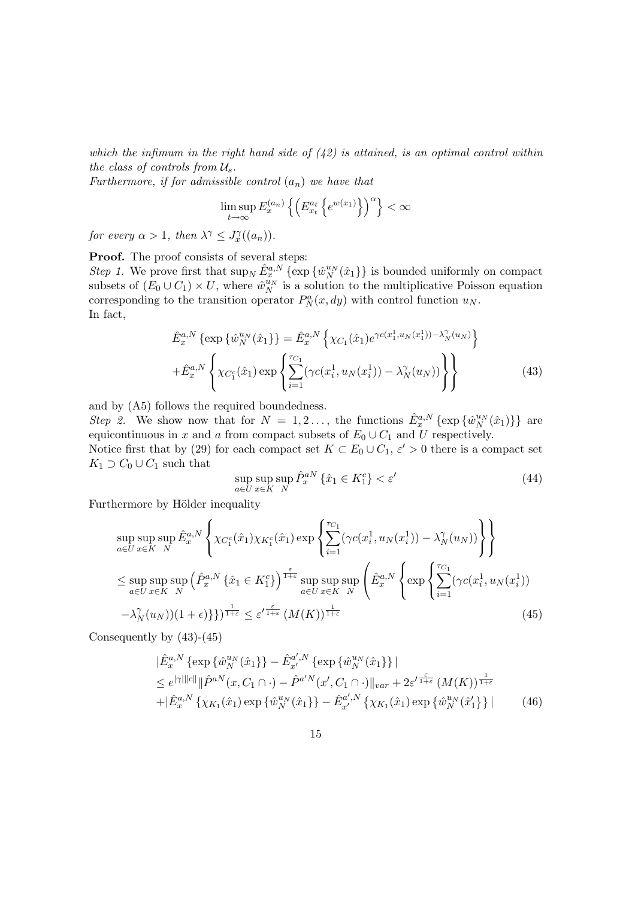which the infimum in the right hand side of  $(42)$  is attained, is an optimal control within the class of controls from  $\mathcal{U}_s$ .

Furthermore, if for admissible control  $(a_n)$  we have that

$$
\limsup_{t \to \infty} E_x^{(a_n)} \left\{ \left( E_{x_t}^{a_t} \left\{ e^{w(x_1)} \right\} \right)^\alpha \right\} < \infty
$$

for every  $\alpha > 1$ , then  $\lambda^{\gamma} \leq J_x^{\gamma}((a_n))$ .

**Proof.** The proof consists of several steps:

Step 1. We prove first that  $\sup_N \hat{E}^{a,N}_x \{\exp\{\hat{w}^{u_N}_N(\hat{x}_1)\}\$ is bounded uniformly on compact subsets of  $(E_0 \cup C_1) \times U$ , where  $\hat{w}_N^{u_N}$  is a solution to the multiplicative Poisson equation corresponding to the transition operator  $P_N^a(x, dy)$  with control function  $u_N$ . In fact,

$$
\hat{E}_x^{a,N} \left\{ \exp \{ \hat{w}_N^{u_N}(\hat{x}_1) \} = \hat{E}_x^{a,N} \left\{ \chi_{C_1}(\hat{x}_1) e^{\gamma c(x_1^1, u_N(x_1^1)) - \lambda_N^{\gamma}(u_N)} \right\} \n+ \hat{E}_x^{a,N} \left\{ \chi_{C_1^c}(\hat{x}_1) \exp \left\{ \sum_{i=1}^{\tau_{C_1}} (\gamma c(x_i^1, u_N(x_i^1)) - \lambda_N^{\gamma}(u_N)) \right\} \right\}
$$
\n(43)

and by (A5) follows the required boundedness.

Step 2. We show now that for  $N = 1, 2, \ldots$ , the functions  $\hat{E}_x^{a,N} \{\exp\{\hat{w}_N^{u_N}(\hat{x}_1)\}\}\$  are equicontinuous in x and a from compact subsets of  $E_0 \cup C_1$  and U respectively.

Notice first that by (29) for each compact set  $K \subset E_0 \cup C_1$ ,  $\varepsilon' > 0$  there is a compact set  $K_1 \supset C_0 \cup C_1$  such that  $\lambda$ 

$$
\sup_{a \in U} \sup_{x \in K} \hat{P}_x^{aN} \left\{ \hat{x}_1 \in K_1^c \right\} < \varepsilon' \tag{44}
$$

Furthermore by Hölder inequality

$$
\sup_{a\in U} \sup_{x\in K} \sup_{N} \hat{E}_{x}^{a,N} \left\{ \chi_{C_{1}^{c}}(\hat{x}_{1}) \chi_{K_{1}^{c}}(\hat{x}_{1}) \exp \left\{ \sum_{i=1}^{\tau_{C_{1}}} (\gamma c(x_{i}^{1}, u_{N}(x_{i}^{1})) - \lambda_{N}^{\gamma}(u_{N})) \right\} \right\}
$$
\n
$$
\leq \sup_{a\in U} \sup_{x\in K} \sup_{N} \left( \hat{P}_{x}^{a,N} \{ \hat{x}_{1} \in K_{1}^{c} \} \right)^{\frac{\varepsilon}{1+\varepsilon}} \sup_{a\in U} \sup_{x\in K} \sup_{N} \left( \hat{E}_{x}^{a,N} \left\{ \exp \left\{ \sum_{i=1}^{\tau_{C_{1}}} (\gamma c(x_{i}^{1}, u_{N}(x_{i}^{1})) - \lambda_{N}^{\gamma}(u_{N}))(1+\epsilon) \right\} \right\} \right) + \frac{\varepsilon}{1+\varepsilon} \left( M(K) \right)^{\frac{\varepsilon}{1+\varepsilon}} \left( M(K) \right)^{\frac{1}{1+\varepsilon}} \tag{45}
$$

Consequently by (43)-(45)

$$
|\hat{E}_{x}^{a,N}\left\{\exp\left\{\hat{w}_{N}^{u_{N}}(\hat{x}_{1})\right\}-\hat{E}_{x'}^{a',N}\left\{\exp\{\hat{w}_{N}^{u_{N}}(\hat{x}_{1})\}\right\}|
$$
\n
$$
\leq e^{|\gamma| ||c||} \|\hat{P}^{a,N}(x, C_{1} \cap \cdot) - \hat{P}^{a'N}(x', C_{1} \cap \cdot)\|_{var} + 2\varepsilon'^{\frac{\varepsilon}{1+\varepsilon}}(M(K))^{\frac{1}{1+\varepsilon}}
$$
\n
$$
+ |\hat{E}_{x}^{a,N}\left\{\chi_{K_{1}}(\hat{x}_{1})\exp\{\hat{w}_{N}^{u_{N}}(\hat{x}_{1})\} - \hat{E}_{x'}^{a',N}\left\{\chi_{K_{1}}(\hat{x}_{1})\exp\{\hat{w}_{N}^{u_{N}}(\hat{x}'_{1})\}\right\}|
$$
\n(46)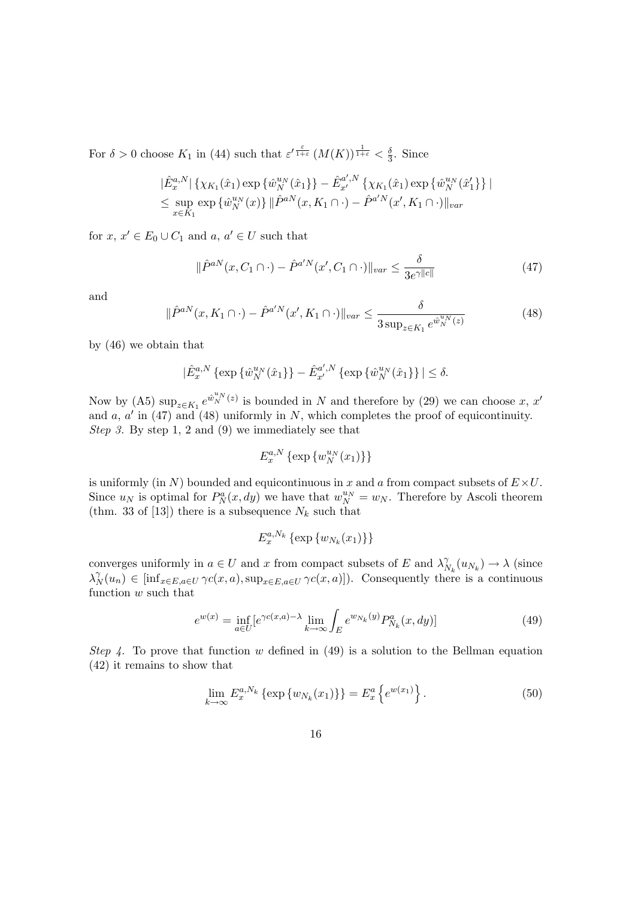For  $\delta > 0$  choose  $K_1$  in (44) such that  $\varepsilon^{\prime \frac{\varepsilon}{1+\varepsilon}} (M(K))^{\frac{1}{1+\varepsilon}} < \frac{\delta}{3}$  $\frac{\delta}{3}$ . Since

$$
\begin{aligned} &\|\hat{E}_{x}^{a,N}\|\left\{\chi_{K_{1}}(\hat{x}_{1})\exp\left\{\hat{w}_{N}^{u_{N}}(\hat{x}_{1})\right\}-\hat{E}_{x'}^{a',N}\left\{\chi_{K_{1}}(\hat{x}_{1})\exp\left\{\hat{w}_{N}^{u_{N}}(\hat{x}_{1}^{\prime}\right\}\right\}\right|\\ &\leq\sup_{x\in K_{1}}\exp\left\{\hat{w}_{N}^{u_{N}}(x)\right\}\|\hat{P}^{a,N}(x,K_{1}\cap\cdot)-\hat{P}^{a'N}(x',K_{1}\cap\cdot)\|_{var}\end{aligned}
$$

for  $x, x' \in E_0 \cup C_1$  and  $a, a' \in U$  such that

$$
\|\hat{P}^{aN}(x, C_1 \cap \cdot) - \hat{P}^{a'N}(x', C_1 \cap \cdot)\|_{var} \le \frac{\delta}{3e^{\gamma ||c||}}
$$
\n(47)

and

$$
\|\hat{P}^{aN}(x, K_1 \cap \cdot) - \hat{P}^{a'N}(x', K_1 \cap \cdot)\|_{var} \le \frac{\delta}{3 \sup_{z \in K_1} e^{\hat{w}_N^{u_N}(z)}}
$$
(48)

by (46) we obtain that

$$
|\hat{E}_x^{a,N}\left\{\exp\{\hat{w}_N^{u_N}(\hat{x}_1)\} - \hat{E}_{x'}^{a',N}\left\{\exp\{\hat{w}_N^{u_N}(\hat{x}_1)\}\right\}| \le \delta.
$$

Now by (A5)  $\sup_{z \in K_1} e^{\hat{w}_N^{u_N}(z)}$  is bounded in N and therefore by (29) we can choose x, x' and  $a, a'$  in (47) and (48) uniformly in N, which completes the proof of equicontinuity. Step 3. By step 1, 2 and (9) we immediately see that

$$
E_x^{a,N}\left\{\exp\left\{w_N^{u_N}(x_1)\right\}\right\}
$$

is uniformly (in N) bounded and equicontinuous in x and a from compact subsets of  $E \times U$ . Since  $u_N$  is optimal for  $P_N^a(x, dy)$  we have that  $w_N^{u_N} = w_N$ . Therefore by Ascoli theorem (thm. 33 of [13]) there is a subsequence  $N_k$  such that

$$
E_x^{a,N_k} \left\{ \exp\left\{ w_{N_k}(x_1) \right\} \right\}
$$

converges uniformly in  $a \in U$  and x from compact subsets of E and  $\lambda<sub>k</sub>$  $\gamma_{N_k}^{\gamma}(u_{N_k}) \to \lambda$  (since  $\lambda_N^{\gamma}(u_n) \in \left[ \inf_{x \in E, a \in U} \gamma c(x, a), \sup_{x \in E, a \in U} \gamma c(x, a) \right]$ . Consequently there is a continuous function w such that

$$
e^{w(x)} = \inf_{a \in U} [e^{\gamma c(x,a) - \lambda} \lim_{k \to \infty} \int_{E} e^{w_{N_k}(y)} P_{N_k}^a(x, dy)] \tag{49}
$$

Step 4. To prove that function w defined in (49) is a solution to the Bellman equation (42) it remains to show that

$$
\lim_{k \to \infty} E_x^{a, N_k} \left\{ \exp \{ w_{N_k}(x_1) \} \right\} = E_x^a \left\{ e^{w(x_1)} \right\}.
$$
\n(50)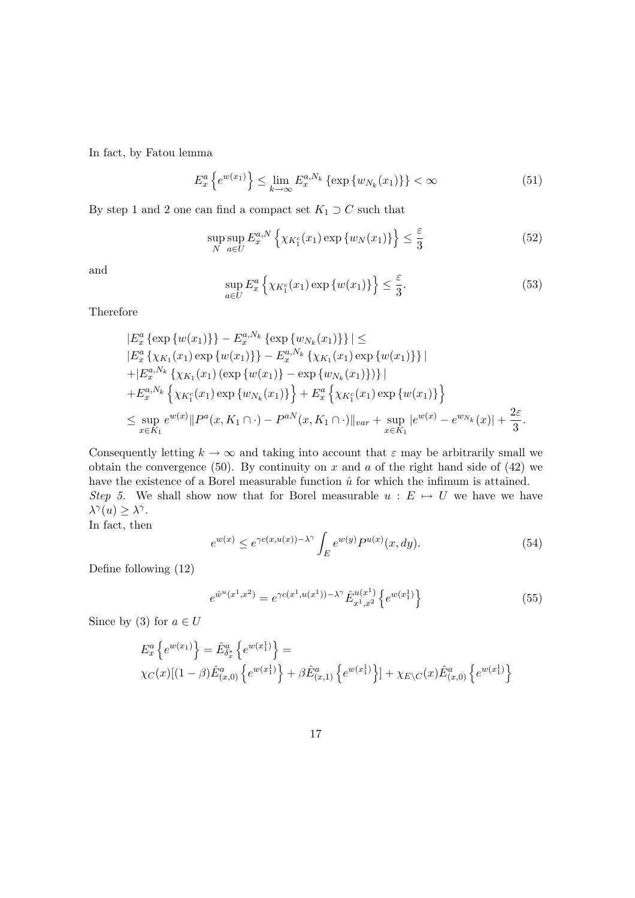In fact, by Fatou lemma

$$
E_x^a \left\{ e^{w(x_1)} \right\} \le \lim_{k \to \infty} E_x^{a, N_k} \left\{ \exp \left\{ w_{N_k}(x_1) \right\} \right\} < \infty \tag{51}
$$

By step 1 and 2 one can find a compact set  $K_1 \supset C$  such that

$$
\sup_{N} \sup_{a \in U} E_{x}^{a,N} \left\{ \chi_{K_{1}^{c}}(x_{1}) \exp \left\{ w_{N}(x_{1}) \right\} \right\} \leq \frac{\varepsilon}{3}
$$
\n(52)

and

$$
\sup_{a\in U} E_x^a \left\{ \chi_{K_1^c}(x_1) \exp \left\{ w(x_1) \right\} \right\} \le \frac{\varepsilon}{3}.
$$
\n(53)

Therefore

$$
|E_{x}^{a} \{\exp \{w(x_{1})\}\}-E_{x}^{a,N_{k}} \{\exp \{w_{N_{k}}(x_{1})\}\}| \le
$$
  
\n
$$
|E_{x}^{a} \{\chi_{K_{1}}(x_{1}) \exp \{w(x_{1})\}\}-E_{x}^{a,N_{k}} \{\chi_{K_{1}}(x_{1}) \exp \{w(x_{1})\}\}|
$$
  
\n
$$
+|E_{x}^{a,N_{k}} \{\chi_{K_{1}}(x_{1}) (\exp \{w(x_{1})\}-\exp \{w_{N_{k}}(x_{1})\})\}|
$$
  
\n
$$
+E_{x}^{a,N_{k}} \{\chi_{K_{1}^{c}}(x_{1}) \exp \{w_{N_{k}}(x_{1})\}\} + E_{x}^{a} \{\chi_{K_{1}^{c}}(x_{1}) \exp \{w(x_{1})\}\}
$$
  
\n
$$
\leq \sup_{x \in K_{1}} e^{w(x)} ||P^{a}(x, K_{1} \cap \cdot) - P^{aN}(x, K_{1} \cap \cdot) ||_{var} + \sup_{x \in K_{1}} |e^{w(x)} - e^{w_{N_{k}}}(x)| + \frac{2\varepsilon}{3}.
$$

Consequently letting  $k \to \infty$  and taking into account that  $\varepsilon$  may be arbitrarily small we obtain the convergence (50). By continuity on x and a of the right hand side of (42) we have the existence of a Borel measurable function  $\hat{u}$  for which the infimum is attained. Step 5. We shall show now that for Borel measurable  $u : E \mapsto U$  we have we have  $\lambda^{\gamma}(u) \geq \lambda^{\gamma}$ . In fact, then

$$
e^{w(x)} \le e^{\gamma c(x, u(x)) - \lambda^{\gamma}} \int_{E} e^{w(y)} P^{u(x)}(x, dy). \tag{54}
$$

Define following (12)

$$
e^{\hat{w}^u(x^1, x^2)} = e^{\gamma c(x^1, u(x^1)) - \lambda^{\gamma}} \hat{E}_{x^1, x^2}^{u(x^1)} \left\{ e^{w(x^1_1)} \right\} \tag{55}
$$

Since by (3) for  $a \in U$ 

$$
E_x^a \{ e^{w(x_1)} \} = \hat{E}_{\delta_x^*}^a \{ e^{w(x_1^1)} \} =
$$
  
 
$$
\chi_C(x) [(1 - \beta) \hat{E}_{(x,0)}^a \{ e^{w(x_1^1)} \} + \beta \hat{E}_{(x,1)}^a \{ e^{w(x_1^1)} \} ] + \chi_{E \setminus C}(x) \hat{E}_{(x,0)}^a \{ e^{w(x_1^1)} \}.
$$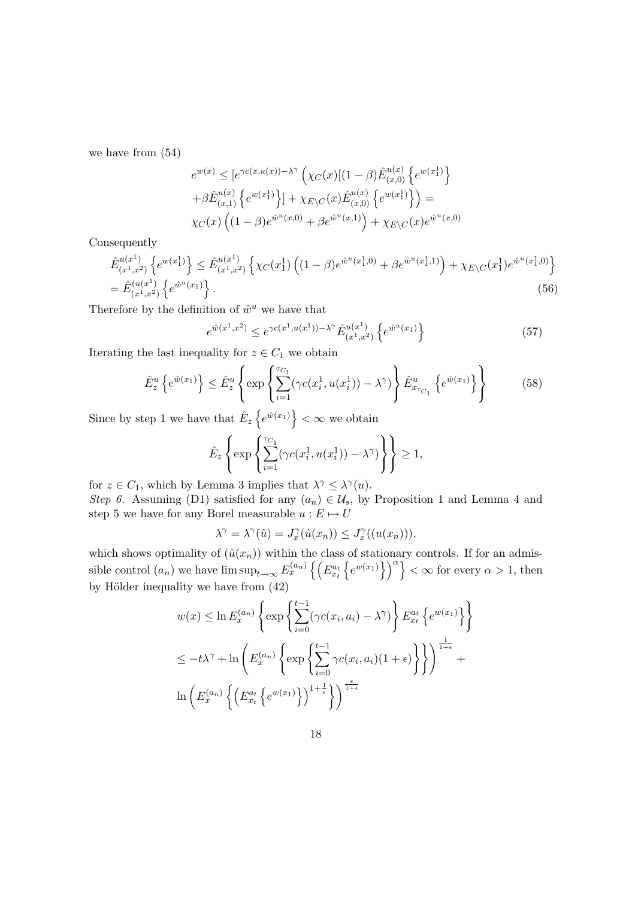we have from (54)

$$
e^{w(x)} \leq [e^{\gamma c(x,u(x))-\lambda^{\gamma}} \left(\chi_C(x)[(1-\beta)\hat{E}_{(x,0)}^{u(x)}\left\{e^{w(x_1^1)}\right\} + \beta \hat{E}_{(x,1)}^{u(x)}\left\{e^{w(x_1^1)}\right\}] + \chi_{E\setminus C}(x)\hat{E}_{(x,0)}^{u(x)}\left\{e^{w(x_1^1)}\right\}\right) =
$$
  
 
$$
\chi_C(x)\left((1-\beta)e^{\hat{w}^u(x,0)} + \beta e^{\hat{w}^u(x,1)}\right) + \chi_{E\setminus C}(x)e^{\hat{w}^u(x,0)}
$$

Consequently

$$
\hat{E}_{(x^1,x^2)}^{u(x^1)} \left\{ e^{w(x_1^1)} \right\} \le \hat{E}_{(x^1,x^2)}^{u(x^1)} \left\{ \chi_C(x_1^1) \left( (1-\beta) e^{\hat{w}^u(x_1^1,0)} + \beta e^{\hat{w}^u(x_1^1,1)} \right) + \chi_{E \setminus C}(x_1^1) e^{\hat{w}^u(x_1^1,0)} \right\} \n= \hat{E}_{(x^1,x^2)}^{(u(x^1))} \left\{ e^{\hat{w}^u(x_1)} \right\}.
$$
\n(56)

Therefore by the definition of  $\hat{w}^u$  we have that

$$
e^{\hat{w}(x^1, x^2)} \le e^{\gamma c(x^1, u(x^1)) - \lambda^{\gamma}} \hat{E}_{(x^1, x^2)}^{u(x^1)} \left\{ e^{\hat{w}^u(x_1)} \right\} \tag{57}
$$

Iterating the last inequality for  $z \in C_1$  we obtain

$$
\hat{E}_z^u \left\{ e^{\hat{w}(x_1)} \right\} \le \hat{E}_z^u \left\{ \exp \left\{ \sum_{i=1}^{\tau_{C_1}} (\gamma c(x_i^1, u(x_i^1)) - \lambda^{\gamma}) \right\} \hat{E}_{x_{\tau_{C_1}}}^u \left\{ e^{\hat{w}(x_1)} \right\} \right\} \tag{58}
$$

Since by step 1 we have that  $\hat{E}_z$  $e^{\hat{w}(x_1)}$  $<\infty$  we obtain  $\mathcal{L}$ 

$$
\hat{E}_z \left\{ \exp \left\{ \sum_{i=1}^{\tau_{C_1}} (\gamma c(x_i^1, u(x_i^1)) - \lambda^{\gamma}) \right\} \right\} \ge 1,
$$

for  $z \in C_1$ , which by Lemma 3 implies that  $\lambda^{\gamma} \leq \lambda^{\gamma}(u)$ .

Step 6. Assuming (D1) satisfied for any  $(a_n) \in \mathcal{U}_s$ , by Proposition 1 and Lemma 4 and step 5 we have for any Borel measurable  $u : E \mapsto U$ 

$$
\lambda^{\gamma} = \lambda^{\gamma}(\hat{u}) = J_x^{\gamma}(\hat{u}(x_n)) \leq J_x^{\gamma}((u(x_n))),
$$

which shows optimality of  $(\hat{u}(x_n))$  within the class of stationary controls. If for an admissible control  $(a_n)$  we have  $\limsup_{t\to\infty} E_x^{(a_n)}$ e (  $E^{a_t}_{x_t}$  $\frac{1}{2}$  $e^{w(x_1)}\big\}\big)^{\alpha}\big\}$  $< \infty$  for every  $\alpha > 1$ , then by Hölder inequality we have from  $(42)$ 

$$
w(x) \leq \ln E_x^{(a_n)} \left\{ \exp \left\{ \sum_{i=0}^{t-1} (\gamma c(x_i, a_i) - \lambda^{\gamma}) \right\} E_{x_t}^{a_t} \left\{ e^{w(x_1)} \right\} \right\}
$$
  

$$
\leq -t\lambda^{\gamma} + \ln \left( E_x^{(a_n)} \left\{ \exp \left\{ \sum_{i=0}^{t-1} \gamma c(x_i, a_i) (1 + \epsilon) \right\} \right\} \right)^{\frac{1}{1+\epsilon}}
$$
  

$$
\ln \left( E_x^{(a_n)} \left\{ \left( E_{x_t}^{a_t} \left\{ e^{w(x_1)} \right\} \right)^{1 + \frac{1}{\epsilon}} \right\} \right)^{\frac{\epsilon}{1+\epsilon}}
$$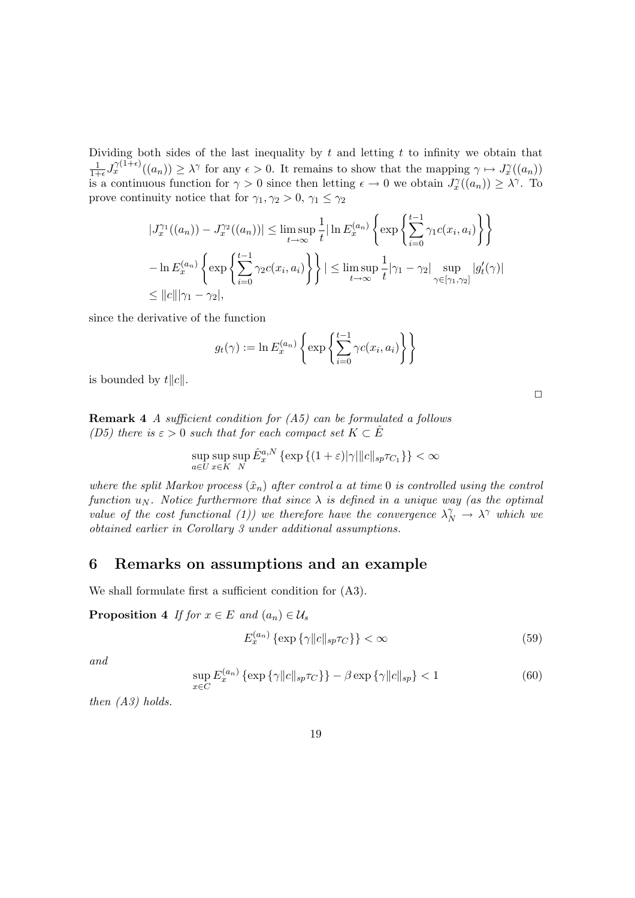Dividing both sides of the last inequality by  $t$  and letting  $t$  to infinity we obtain that 1  $\frac{1}{1+\epsilon}J_x^{\gamma(1+\epsilon)}((a_n))\geq \lambda^{\gamma}$  for any  $\epsilon>0$ . It remains to show that the mapping  $\gamma\mapsto J_x^{\gamma}((a_n))$ is a continuous function for  $\gamma > 0$  since then letting  $\epsilon \to 0$  we obtain  $J_x^{\gamma}(a_n) \geq \lambda^{\gamma}$ . To prove continuity notice that for  $\gamma_1, \gamma_2 > 0, \gamma_1 \leq \gamma_2$ 

$$
|J_x^{\gamma_1}((a_n)) - J_x^{\gamma_2}((a_n))| \le \limsup_{t \to \infty} \frac{1}{t} |\ln E_x^{(a_n)} \left\{ \exp \left\{ \sum_{i=0}^{t-1} \gamma_1 c(x_i, a_i) \right\} \right\}
$$
  

$$
- \ln E_x^{(a_n)} \left\{ \exp \left\{ \sum_{i=0}^{t-1} \gamma_2 c(x_i, a_i) \right\} \right\} | \le \limsup_{t \to \infty} \frac{1}{t} |\gamma_1 - \gamma_2| \sup_{\gamma \in [\gamma_1, \gamma_2]} |g'_t(\gamma)|
$$
  

$$
\le ||c|| |\gamma_1 - \gamma_2|,
$$

since the derivative of the function

$$
g_t(\gamma) := \ln E_x^{(a_n)} \left\{ \exp \left\{ \sum_{i=0}^{t-1} \gamma c(x_i, a_i) \right\} \right\}
$$

is bounded by  $t||c||$ .

**Remark 4** A sufficient condition for  $(A5)$  can be formulated a follows (D5) there is  $\varepsilon > 0$  such that for each compact set  $K \subset \hat{E}$ 

$$
\sup_{a\in U}\sup_{x\in K}\hat{E}_{x}^{a,N}\left\{\exp\left\{(1+\varepsilon)|\gamma|\|c\|_{sp}\tau_{C_{1}}\right\}\right\}<\infty
$$

where the split Markov process  $(\hat{x}_n)$  after control a at time 0 is controlled using the control function  $u_N$ . Notice furthermore that since  $\lambda$  is defined in a unique way (as the optimal value of the cost functional (1)) we therefore have the convergence  $\lambda_N^{\gamma} \to \lambda^{\gamma}$  which we obtained earlier in Corollary 3 under additional assumptions.

### 6 Remarks on assumptions and an example

We shall formulate first a sufficient condition for (A3).

**Proposition 4** If for  $x \in E$  and  $(a_n) \in U_s$ 

$$
E_x^{(a_n)}\left\{\exp\left\{\gamma\|c\|_{sp}\tau_C\right\}\right\} < \infty\tag{59}
$$

and

$$
\sup_{x \in C} E_x^{(a_n)} \left\{ \exp \left\{ \gamma \|c\|_{sp} \tau_C \right\} \right\} - \beta \exp \left\{ \gamma \|c\|_{sp} \right\} < 1 \tag{60}
$$

then (A3) holds.

 $\Box$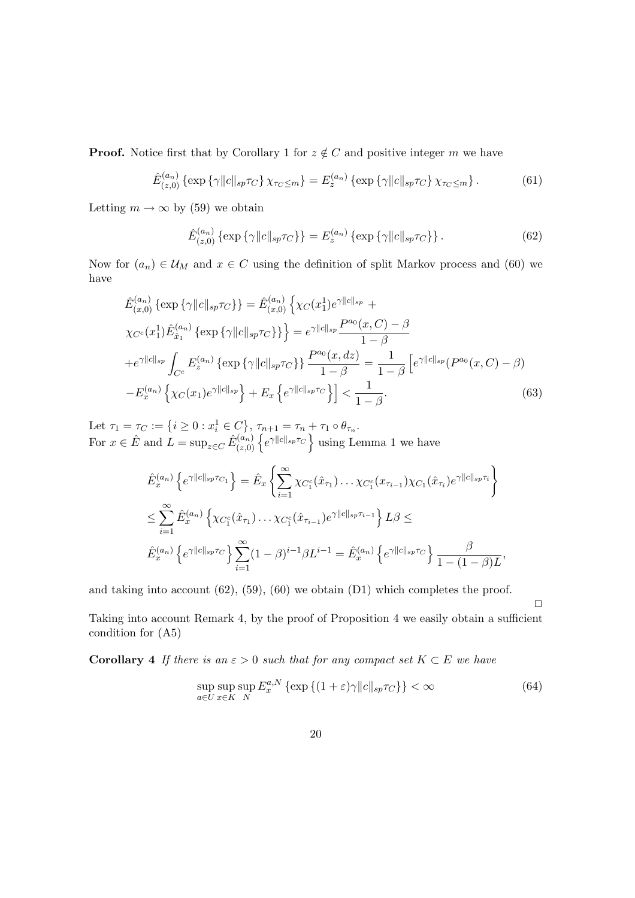**Proof.** Notice first that by Corollary 1 for  $z \notin C$  and positive integer m we have

$$
\hat{E}_{(z,0)}^{(a_n)}\left\{\exp\left\{\gamma\|c\|_{sp}\tau_C\right\}\chi_{\tau_C\leq m}\right\} = E_z^{(a_n)}\left\{\exp\left\{\gamma\|c\|_{sp}\tau_C\right\}\chi_{\tau_C\leq m}\right\}.\tag{61}
$$

Letting  $m \to \infty$  by (59) we obtain

$$
\hat{E}_{(z,0)}^{(a_n)}\left\{\exp\left\{\gamma\|c\|_{sp}\tau_C\right\}\right\} = E_z^{(a_n)}\left\{\exp\left\{\gamma\|c\|_{sp}\tau_C\right\}\right\}.
$$
\n(62)

Now for  $(a_n) \in \mathcal{U}_M$  and  $x \in C$  using the definition of split Markov process and (60) we have

$$
\hat{E}_{(x,0)}^{(a_n)} \{ \exp \{ \gamma ||c||_{sp} \tau_C \} \} = \hat{E}_{(x,0)}^{(a_n)} \{ \chi_C(x_1^1) e^{\gamma ||c||_{sp}} +
$$
\n
$$
\chi_{C^c}(x_1^1) \hat{E}_{\hat{x}_1}^{(a_n)} \{ \exp \{ \gamma ||c||_{sp} \tau_C \} \} = e^{\gamma ||c||_{sp}} \frac{P^{a_0}(x,C) - \beta}{1 - \beta}
$$
\n
$$
+ e^{\gamma ||c||_{sp}} \int_{C^c} E_z^{(a_n)} \{ \exp \{ \gamma ||c||_{sp} \tau_C \} \} \frac{P^{a_0}(x,dz)}{1 - \beta} = \frac{1}{1 - \beta} \left[ e^{\gamma ||c||_{sp}} (P^{a_0}(x,C) - \beta) - E_x^{(a_n)} \left\{ \chi_C(x_1) e^{\gamma ||c||_{sp}} \right\} + E_x \left\{ e^{\gamma ||c||_{sp} \tau_C} \right\} \right] < \frac{1}{1 - \beta}.
$$
\n
$$
(63)
$$

Let  $\tau_1 = \tau_C := \{i \ge 0 : x_i^1 \in C\}, \tau_{n+1} = \tau_n + \tau_1 \circ \theta_{\tau_n}$ . Let  $\{r_1 - r_C : -\{t \geq 0 : x_i \in C\}$ ,  $\{r_{n+1} - r_n + \}$ <br>For  $x \in \hat{E}$  and  $L = \sup_{z \in C} \hat{E}_{(z,0)}^{(a_n)} \left\{ e^{\gamma ||c||_{sp}\tau_C} \right\}$ using Lemma 1 we have

$$
\hat{E}_x^{(a_n)} \left\{ e^{\gamma ||c||_{sp}\tau_{C_1}} \right\} = \hat{E}_x \left\{ \sum_{i=1}^{\infty} \chi_{C_1^c}(\hat{x}_{\tau_1}) \dots \chi_{C_1^c}(x_{\tau_{i-1}}) \chi_{C_1}(\hat{x}_{\tau_i}) e^{\gamma ||c||_{sp}\tau_i} \right\}
$$
\n
$$
\leq \sum_{i=1}^{\infty} \hat{E}_x^{(a_n)} \left\{ \chi_{C_1^c}(\hat{x}_{\tau_1}) \dots \chi_{C_1^c}(\hat{x}_{\tau_{i-1}}) e^{\gamma ||c||_{sp}\tau_{i-1}} \right\} L\beta \leq
$$
\n
$$
\hat{E}_x^{(a_n)} \left\{ e^{\gamma ||c||_{sp}\tau_{C}} \right\} \sum_{i=1}^{\infty} (1-\beta)^{i-1} \beta L^{i-1} = \hat{E}_x^{(a_n)} \left\{ e^{\gamma ||c||_{sp}\tau_{C}} \right\} \frac{\beta}{1 - (1-\beta)L},
$$

and taking into account (62), (59), (60) we obtain (D1) which completes the proof.

Taking into account Remark 4, by the proof of Proposition 4 we easily obtain a sufficient condition for (A5)

**Corollary 4** If there is an  $\varepsilon > 0$  such that for any compact set  $K \subset E$  we have

$$
\sup_{a \in U} \sup_{x \in K} E_x^{a,N} \left\{ \exp \left\{ (1 + \varepsilon) \gamma ||c||_{sp} \tau_C \right\} \right\} < \infty \tag{64}
$$

 $\Box$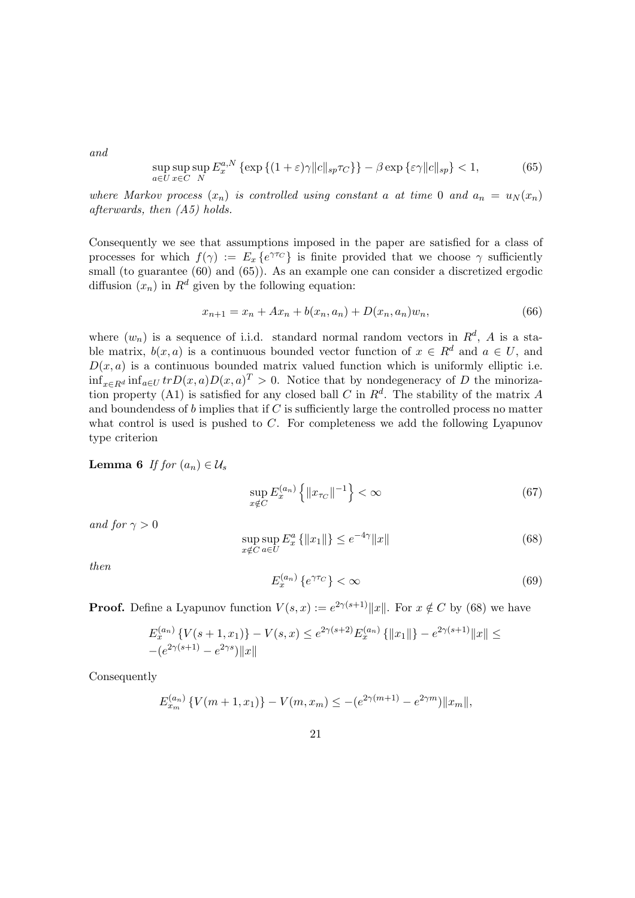and

$$
\sup_{a\in U} \sup_{x\in C} E_x^{a,N} \left\{ \exp\left\{ (1+\varepsilon)\gamma \|c\|_{sp} \tau_C \right\} \right\} - \beta \exp\left\{ \varepsilon \gamma \|c\|_{sp} \right\} < 1,\tag{65}
$$

where Markov process  $(x_n)$  is controlled using constant a at time 0 and  $a_n = u_N(x_n)$ afterwards, then (A5) holds.

Consequently we see that assumptions imposed in the paper are satisfied for a class of processes for which  $f(\gamma) := E_x \{e^{\gamma \tau C}\}\$ is finite provided that we choose  $\gamma$  sufficiently small (to guarantee (60) and (65)). As an example one can consider a discretized ergodic diffusion  $(x_n)$  in  $R^d$  given by the following equation:

$$
x_{n+1} = x_n + Ax_n + b(x_n, a_n) + D(x_n, a_n)w_n,
$$
\n(66)

where  $(w_n)$  is a sequence of i.i.d. standard normal random vectors in  $R^d$ , A is a stable matrix,  $b(x, a)$  is a continuous bounded vector function of  $x \in R^d$  and  $a \in U$ , and  $D(x, a)$  is a continuous bounded matrix valued function which is uniformly elliptic i.e.  $\inf_{x \in R^d} \inf_{a \in U} tr D(x, a) D(x, a)^T > 0$ . Notice that by nondegeneracy of D the minorization property (A1) is satisfied for any closed ball C in  $\mathbb{R}^d$ . The stability of the matrix A and boundendess of  $b$  implies that if  $C$  is sufficiently large the controlled process no matter what control is used is pushed to  $C$ . For completeness we add the following Lyapunov type criterion

Lemma 6 If for  $(a_n) \in \mathcal{U}_s$ 

$$
\sup_{x \notin C} E_x^{(a_n)} \left\{ ||x_{\tau_C}||^{-1} \right\} < \infty \tag{67}
$$

and for  $\gamma > 0$ 

$$
\sup_{x \notin C} \sup_{a \in U} E_x^a \{ \|x_1\| \} \le e^{-4\gamma} \|x\|
$$
\n(68)

then

$$
E_x^{(a_n)}\left\{e^{\gamma \tau_C}\right\} < \infty\tag{69}
$$

**Proof.** Define a Lyapunov function  $V(s, x) := e^{2\gamma(s+1)} \|x\|$ . For  $x \notin C$  by (68) we have

$$
E_x^{(a_n)}\left\{V(s+1,x_1)\right\} - V(s,x) \le e^{2\gamma(s+2)} E_x^{(a_n)}\left\{\|x_1\|\right\} - e^{2\gamma(s+1)}\|x\| \le
$$
  
 
$$
-(e^{2\gamma(s+1)} - e^{2\gamma s})\|x\|
$$

Consequently

$$
E_{x_m}^{(a_n)}\left\{V(m+1,x_1)\right\} - V(m,x_m) \le -\left(e^{2\gamma(m+1)} - e^{2\gamma m}\right) \|x_m\|,
$$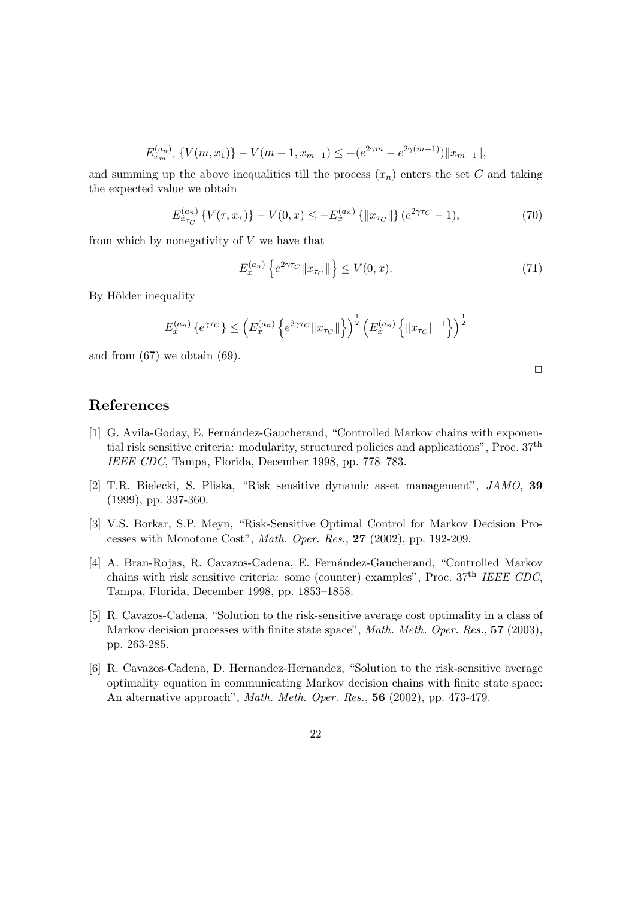$$
E_{x_{m-1}}^{(a_n)} \left\{ V(m, x_1) \right\} - V(m-1, x_{m-1}) \leq -(e^{2\gamma m} - e^{2\gamma(m-1)}) \|x_{m-1}\|,
$$

and summing up the above inequalities till the process  $(x_n)$  enters the set C and taking the expected value we obtain

$$
E_{x_{\tau_C}}^{(a_n)}\left\{V(\tau, x_{\tau})\right\} - V(0, x) \le -E_x^{(a_n)}\left\{\|x_{\tau_C}\|\right\}(e^{2\gamma\tau_C} - 1),\tag{70}
$$

from which by nonegativity of  $V$  we have that

$$
E_x^{(a_n)}\left\{e^{2\gamma\tau_C} \|x_{\tau_C}\|\right\} \le V(0, x). \tag{71}
$$

By Hölder inequality

$$
E_x^{(a_n)}\left\{e^{\gamma\tau_C}\right\}\leq \left(E_x^{(a_n)}\left\{e^{2\gamma\tau_C}\|x_{\tau_C}\|\right\}\right)^{\frac{1}{2}}\left(E_x^{(a_n)}\left\{\|x_{\tau_C}\|^{-1}\right\}\right)^{\frac{1}{2}}
$$

and from  $(67)$  we obtain  $(69)$ .

 $\Box$ 

### References

- [1] G. Avila-Goday, E. Fernández-Gaucherand, "Controlled Markov chains with exponential risk sensitive criteria: modularity, structured policies and applications", Proc. 37th IEEE CDC, Tampa, Florida, December 1998, pp. 778–783.
- [2] T.R. Bielecki, S. Pliska, "Risk sensitive dynamic asset management", JAMO, 39 (1999), pp. 337-360.
- [3] V.S. Borkar, S.P. Meyn, "Risk-Sensitive Optimal Control for Markov Decision Processes with Monotone Cost", Math. Oper. Res., 27 (2002), pp. 192-209.
- [4] A. Bran-Rojas, R. Cavazos-Cadena, E. Fernández-Gaucherand, "Controlled Markov chains with risk sensitive criteria: some (counter) examples", Proc.  $37<sup>th</sup> IEEE CDC$ , Tampa, Florida, December 1998, pp. 1853–1858.
- [5] R. Cavazos-Cadena, "Solution to the risk-sensitive average cost optimality in a class of Markov decision processes with finite state space", *Math. Meth. Oper. Res.*, **57** (2003), pp. 263-285.
- [6] R. Cavazos-Cadena, D. Hernandez-Hernandez, "Solution to the risk-sensitive average optimality equation in communicating Markov decision chains with finite state space: An alternative approach", Math. Meth. Oper. Res., 56 (2002), pp. 473-479.